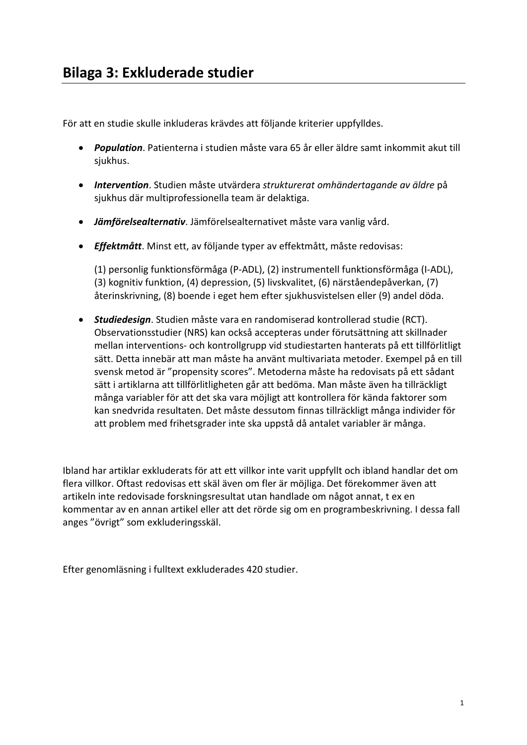För att en studie skulle inkluderas krävdes att följande kriterier uppfylldes.

- *Population*. Patienterna i studien måste vara 65 år eller äldre samt inkommit akut till siukhus.
- *Intervention*. Studien måste utvärdera *strukturerat omhändertagande av äldre* på sjukhus där multiprofessionella team är delaktiga.
- *Jämförelsealternativ*. Jämförelsealternativet måste vara vanlig vård.
- *Effektmått*. Minst ett, av följande typer av effektmått, måste redovisas:

(1) personlig funktionsförmåga (P-ADL), (2) instrumentell funktionsförmåga (I-ADL), (3) kognitiv funktion, (4) depression, (5) livskvalitet, (6) närståendepåverkan, (7) återinskrivning, (8) boende i eget hem efter sjukhusvistelsen eller (9) andel döda.

• *Studiedesign*. Studien måste vara en randomiserad kontrollerad studie (RCT). Observationsstudier (NRS) kan också accepteras under förutsättning att skillnader mellan interventions- och kontrollgrupp vid studiestarten hanterats på ett tillförlitligt sätt. Detta innebär att man måste ha använt multivariata metoder. Exempel på en till svensk metod är "propensity scores". Metoderna måste ha redovisats på ett sådant sätt i artiklarna att tillförlitligheten går att bedöma. Man måste även ha tillräckligt många variabler för att det ska vara möjligt att kontrollera för kända faktorer som kan snedvrida resultaten. Det måste dessutom finnas tillräckligt många individer för att problem med frihetsgrader inte ska uppstå då antalet variabler är många.

Ibland har artiklar exkluderats för att ett villkor inte varit uppfyllt och ibland handlar det om flera villkor. Oftast redovisas ett skäl även om fler är möjliga. Det förekommer även att artikeln inte redovisade forskningsresultat utan handlade om något annat, t ex en kommentar av en annan artikel eller att det rörde sig om en programbeskrivning. I dessa fall anges "övrigt" som exkluderingsskäl.

Efter genomläsning i fulltext exkluderades 420 studier.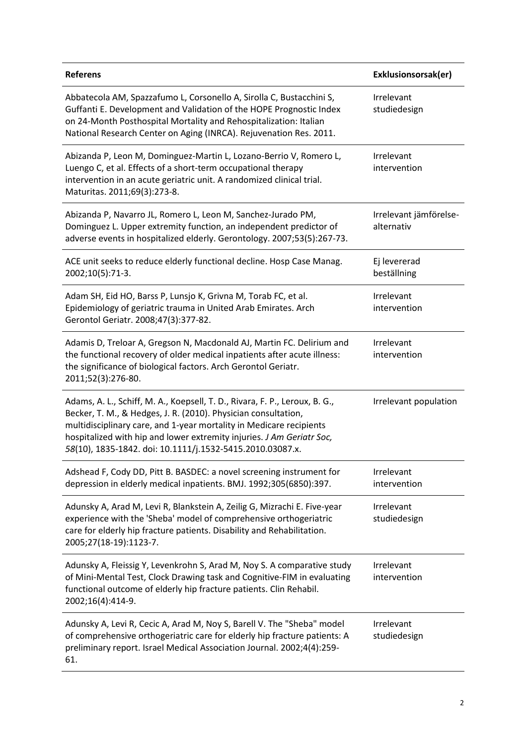| <b>Referens</b>                                                                                                                                                                                                                                                                                                                                            | Exklusionsorsak(er)                  |
|------------------------------------------------------------------------------------------------------------------------------------------------------------------------------------------------------------------------------------------------------------------------------------------------------------------------------------------------------------|--------------------------------------|
| Abbatecola AM, Spazzafumo L, Corsonello A, Sirolla C, Bustacchini S,<br>Guffanti E. Development and Validation of the HOPE Prognostic Index<br>on 24-Month Posthospital Mortality and Rehospitalization: Italian<br>National Research Center on Aging (INRCA). Rejuvenation Res. 2011.                                                                     | Irrelevant<br>studiedesign           |
| Abizanda P, Leon M, Dominguez-Martin L, Lozano-Berrio V, Romero L,<br>Luengo C, et al. Effects of a short-term occupational therapy<br>intervention in an acute geriatric unit. A randomized clinical trial.<br>Maturitas. 2011;69(3):273-8.                                                                                                               | Irrelevant<br>intervention           |
| Abizanda P, Navarro JL, Romero L, Leon M, Sanchez-Jurado PM,<br>Dominguez L. Upper extremity function, an independent predictor of<br>adverse events in hospitalized elderly. Gerontology. 2007;53(5):267-73.                                                                                                                                              | Irrelevant jämförelse-<br>alternativ |
| ACE unit seeks to reduce elderly functional decline. Hosp Case Manag.<br>2002;10(5):71-3.                                                                                                                                                                                                                                                                  | Ej levererad<br>beställning          |
| Adam SH, Eid HO, Barss P, Lunsjo K, Grivna M, Torab FC, et al.<br>Epidemiology of geriatric trauma in United Arab Emirates. Arch<br>Gerontol Geriatr. 2008;47(3):377-82.                                                                                                                                                                                   | Irrelevant<br>intervention           |
| Adamis D, Treloar A, Gregson N, Macdonald AJ, Martin FC. Delirium and<br>the functional recovery of older medical inpatients after acute illness:<br>the significance of biological factors. Arch Gerontol Geriatr.<br>2011;52(3):276-80.                                                                                                                  | Irrelevant<br>intervention           |
| Adams, A. L., Schiff, M. A., Koepsell, T. D., Rivara, F. P., Leroux, B. G.,<br>Becker, T. M., & Hedges, J. R. (2010). Physician consultation,<br>multidisciplinary care, and 1-year mortality in Medicare recipients<br>hospitalized with hip and lower extremity injuries. J Am Geriatr Soc,<br>58(10), 1835-1842. doi: 10.1111/j.1532-5415.2010.03087.x. | Irrelevant population                |
| Adshead F, Cody DD, Pitt B. BASDEC: a novel screening instrument for<br>depression in elderly medical inpatients. BMJ. 1992;305(6850):397.                                                                                                                                                                                                                 | Irrelevant<br>intervention           |
| Adunsky A, Arad M, Levi R, Blankstein A, Zeilig G, Mizrachi E. Five-year<br>experience with the 'Sheba' model of comprehensive orthogeriatric<br>care for elderly hip fracture patients. Disability and Rehabilitation.<br>2005;27(18-19):1123-7.                                                                                                          | Irrelevant<br>studiedesign           |
| Adunsky A, Fleissig Y, Levenkrohn S, Arad M, Noy S. A comparative study<br>of Mini-Mental Test, Clock Drawing task and Cognitive-FIM in evaluating<br>functional outcome of elderly hip fracture patients. Clin Rehabil.<br>2002;16(4):414-9.                                                                                                              | Irrelevant<br>intervention           |
| Adunsky A, Levi R, Cecic A, Arad M, Noy S, Barell V. The "Sheba" model<br>of comprehensive orthogeriatric care for elderly hip fracture patients: A<br>preliminary report. Israel Medical Association Journal. 2002;4(4):259-<br>61.                                                                                                                       | Irrelevant<br>studiedesign           |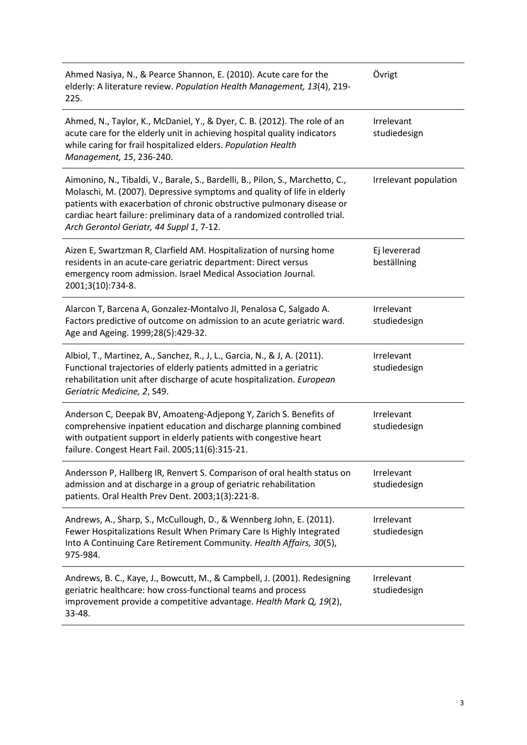| Ahmed Nasiya, N., & Pearce Shannon, E. (2010). Acute care for the<br>elderly: A literature review. Population Health Management, 13(4), 219-<br>225.                                                                                                                                                                                                         | Övrigt                      |
|--------------------------------------------------------------------------------------------------------------------------------------------------------------------------------------------------------------------------------------------------------------------------------------------------------------------------------------------------------------|-----------------------------|
| Ahmed, N., Taylor, K., McDaniel, Y., & Dyer, C. B. (2012). The role of an<br>acute care for the elderly unit in achieving hospital quality indicators<br>while caring for frail hospitalized elders. Population Health<br>Management, 15, 236-240.                                                                                                           | Irrelevant<br>studiedesign  |
| Aimonino, N., Tibaldi, V., Barale, S., Bardelli, B., Pilon, S., Marchetto, C.,<br>Molaschi, M. (2007). Depressive symptoms and quality of life in elderly<br>patients with exacerbation of chronic obstructive pulmonary disease or<br>cardiac heart failure: preliminary data of a randomized controlled trial.<br>Arch Gerontol Geriatr, 44 Suppl 1, 7-12. | Irrelevant population       |
| Aizen E, Swartzman R, Clarfield AM. Hospitalization of nursing home<br>residents in an acute-care geriatric department: Direct versus<br>emergency room admission. Israel Medical Association Journal.<br>2001;3(10):734-8.                                                                                                                                  | Ej levererad<br>beställning |
| Alarcon T, Barcena A, Gonzalez-Montalvo JI, Penalosa C, Salgado A.<br>Factors predictive of outcome on admission to an acute geriatric ward.<br>Age and Ageing. 1999;28(5):429-32.                                                                                                                                                                           | Irrelevant<br>studiedesign  |
| Albiol, T., Martinez, A., Sanchez, R., J, L., Garcia, N., & J, A. (2011).<br>Functional trajectories of elderly patients admitted in a geriatric<br>rehabilitation unit after discharge of acute hospitalization. European<br>Geriatric Medicine, 2, S49.                                                                                                    | Irrelevant<br>studiedesign  |
| Anderson C, Deepak BV, Amoateng-Adjepong Y, Zarich S. Benefits of<br>comprehensive inpatient education and discharge planning combined<br>with outpatient support in elderly patients with congestive heart<br>failure. Congest Heart Fail. 2005;11(6):315-21.                                                                                               | Irrelevant<br>studiedesign  |
| Andersson P, Hallberg IR, Renvert S. Comparison of oral health status on<br>admission and at discharge in a group of geriatric rehabilitation<br>patients. Oral Health Prev Dent. 2003;1(3):221-8.                                                                                                                                                           | Irrelevant<br>studiedesign  |
| Andrews, A., Sharp, S., McCullough, D., & Wennberg John, E. (2011).<br>Fewer Hospitalizations Result When Primary Care Is Highly Integrated<br>Into A Continuing Care Retirement Community. Health Affairs, 30(5),<br>975-984.                                                                                                                               | Irrelevant<br>studiedesign  |
| Andrews, B. C., Kaye, J., Bowcutt, M., & Campbell, J. (2001). Redesigning<br>geriatric healthcare: how cross-functional teams and process<br>improvement provide a competitive advantage. Health Mark Q, 19(2),<br>33-48.                                                                                                                                    | Irrelevant<br>studiedesign  |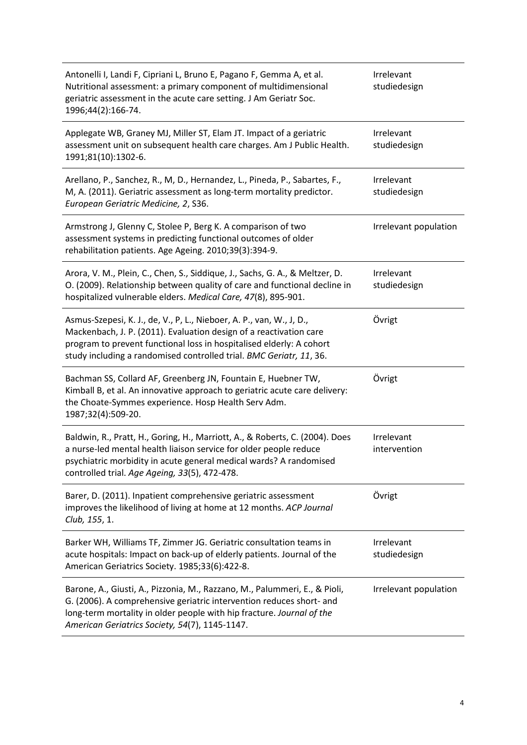| Antonelli I, Landi F, Cipriani L, Bruno E, Pagano F, Gemma A, et al.<br>Nutritional assessment: a primary component of multidimensional<br>geriatric assessment in the acute care setting. J Am Geriatr Soc.<br>1996;44(2):166-74.                                                        | Irrelevant<br>studiedesign |
|-------------------------------------------------------------------------------------------------------------------------------------------------------------------------------------------------------------------------------------------------------------------------------------------|----------------------------|
| Applegate WB, Graney MJ, Miller ST, Elam JT. Impact of a geriatric<br>assessment unit on subsequent health care charges. Am J Public Health.<br>1991;81(10):1302-6.                                                                                                                       | Irrelevant<br>studiedesign |
| Arellano, P., Sanchez, R., M, D., Hernandez, L., Pineda, P., Sabartes, F.,<br>M, A. (2011). Geriatric assessment as long-term mortality predictor.<br>European Geriatric Medicine, 2, S36.                                                                                                | Irrelevant<br>studiedesign |
| Armstrong J, Glenny C, Stolee P, Berg K. A comparison of two<br>assessment systems in predicting functional outcomes of older<br>rehabilitation patients. Age Ageing. 2010;39(3):394-9.                                                                                                   | Irrelevant population      |
| Arora, V. M., Plein, C., Chen, S., Siddique, J., Sachs, G. A., & Meltzer, D.<br>O. (2009). Relationship between quality of care and functional decline in<br>hospitalized vulnerable elders. Medical Care, 47(8), 895-901.                                                                | Irrelevant<br>studiedesign |
| Asmus-Szepesi, K. J., de, V., P, L., Nieboer, A. P., van, W., J, D.,<br>Mackenbach, J. P. (2011). Evaluation design of a reactivation care<br>program to prevent functional loss in hospitalised elderly: A cohort<br>study including a randomised controlled trial. BMC Geriatr, 11, 36. | Övrigt                     |
| Bachman SS, Collard AF, Greenberg JN, Fountain E, Huebner TW,<br>Kimball B, et al. An innovative approach to geriatric acute care delivery:<br>the Choate-Symmes experience. Hosp Health Serv Adm.<br>1987;32(4):509-20.                                                                  | Övrigt                     |
| Baldwin, R., Pratt, H., Goring, H., Marriott, A., & Roberts, C. (2004). Does<br>a nurse-led mental health liaison service for older people reduce<br>psychiatric morbidity in acute general medical wards? A randomised<br>controlled trial. Age Ageing, 33(5), 472-478.                  | Irrelevant<br>intervention |
| Barer, D. (2011). Inpatient comprehensive geriatric assessment<br>improves the likelihood of living at home at 12 months. ACP Journal<br>Club, 155, 1.                                                                                                                                    | Övrigt                     |
| Barker WH, Williams TF, Zimmer JG. Geriatric consultation teams in<br>acute hospitals: Impact on back-up of elderly patients. Journal of the<br>American Geriatrics Society. 1985;33(6):422-8.                                                                                            | Irrelevant<br>studiedesign |
| Barone, A., Giusti, A., Pizzonia, M., Razzano, M., Palummeri, E., & Pioli,<br>G. (2006). A comprehensive geriatric intervention reduces short- and<br>long-term mortality in older people with hip fracture. Journal of the<br>American Geriatrics Society, 54(7), 1145-1147.             | Irrelevant population      |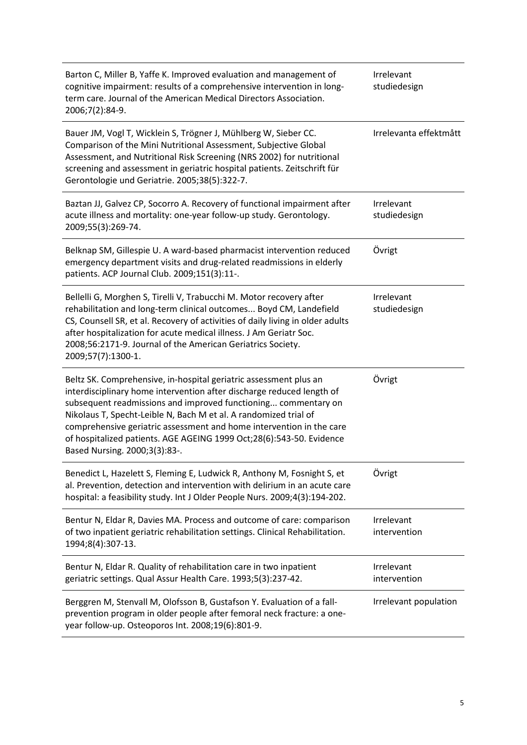| Barton C, Miller B, Yaffe K. Improved evaluation and management of<br>cognitive impairment: results of a comprehensive intervention in long-<br>term care. Journal of the American Medical Directors Association.<br>2006;7(2):84-9.                                                                                                                                                                                                                              | Irrelevant<br>studiedesign |
|-------------------------------------------------------------------------------------------------------------------------------------------------------------------------------------------------------------------------------------------------------------------------------------------------------------------------------------------------------------------------------------------------------------------------------------------------------------------|----------------------------|
| Bauer JM, Vogl T, Wicklein S, Trögner J, Mühlberg W, Sieber CC.<br>Comparison of the Mini Nutritional Assessment, Subjective Global<br>Assessment, and Nutritional Risk Screening (NRS 2002) for nutritional<br>screening and assessment in geriatric hospital patients. Zeitschrift für<br>Gerontologie und Geriatrie. 2005;38(5):322-7.                                                                                                                         | Irrelevanta effektmått     |
| Baztan JJ, Galvez CP, Socorro A. Recovery of functional impairment after<br>acute illness and mortality: one-year follow-up study. Gerontology.<br>2009;55(3):269-74.                                                                                                                                                                                                                                                                                             | Irrelevant<br>studiedesign |
| Belknap SM, Gillespie U. A ward-based pharmacist intervention reduced<br>emergency department visits and drug-related readmissions in elderly<br>patients. ACP Journal Club. 2009;151(3):11-.                                                                                                                                                                                                                                                                     | Övrigt                     |
| Bellelli G, Morghen S, Tirelli V, Trabucchi M. Motor recovery after<br>rehabilitation and long-term clinical outcomes Boyd CM, Landefield<br>CS, Counsell SR, et al. Recovery of activities of daily living in older adults<br>after hospitalization for acute medical illness. J Am Geriatr Soc.<br>2008;56:2171-9. Journal of the American Geriatrics Society.<br>2009;57(7):1300-1.                                                                            | Irrelevant<br>studiedesign |
| Beltz SK. Comprehensive, in-hospital geriatric assessment plus an<br>interdisciplinary home intervention after discharge reduced length of<br>subsequent readmissions and improved functioning commentary on<br>Nikolaus T, Specht-Leible N, Bach M et al. A randomized trial of<br>comprehensive geriatric assessment and home intervention in the care<br>of hospitalized patients. AGE AGEING 1999 Oct;28(6):543-50. Evidence<br>Based Nursing. 2000;3(3):83-. | Övrigt                     |
| Benedict L, Hazelett S, Fleming E, Ludwick R, Anthony M, Fosnight S, et<br>al. Prevention, detection and intervention with delirium in an acute care<br>hospital: a feasibility study. Int J Older People Nurs. 2009;4(3):194-202.                                                                                                                                                                                                                                | Övrigt                     |
| Bentur N, Eldar R, Davies MA. Process and outcome of care: comparison<br>of two inpatient geriatric rehabilitation settings. Clinical Rehabilitation.<br>1994;8(4):307-13.                                                                                                                                                                                                                                                                                        | Irrelevant<br>intervention |
| Bentur N, Eldar R. Quality of rehabilitation care in two inpatient<br>geriatric settings. Qual Assur Health Care. 1993;5(3):237-42.                                                                                                                                                                                                                                                                                                                               | Irrelevant<br>intervention |
| Berggren M, Stenvall M, Olofsson B, Gustafson Y. Evaluation of a fall-<br>prevention program in older people after femoral neck fracture: a one-<br>year follow-up. Osteoporos Int. 2008;19(6):801-9.                                                                                                                                                                                                                                                             | Irrelevant population      |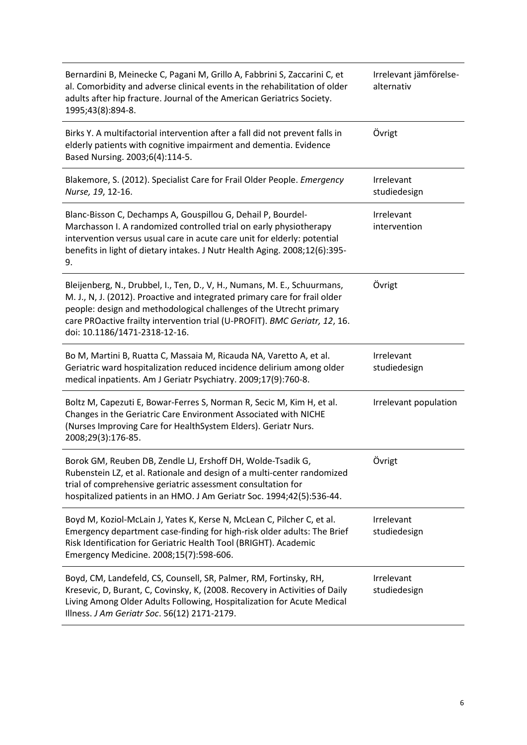| Bernardini B, Meinecke C, Pagani M, Grillo A, Fabbrini S, Zaccarini C, et<br>al. Comorbidity and adverse clinical events in the rehabilitation of older<br>adults after hip fracture. Journal of the American Geriatrics Society.<br>1995;43(8):894-8.                                                                                       | Irrelevant jämförelse-<br>alternativ |
|----------------------------------------------------------------------------------------------------------------------------------------------------------------------------------------------------------------------------------------------------------------------------------------------------------------------------------------------|--------------------------------------|
| Birks Y. A multifactorial intervention after a fall did not prevent falls in<br>elderly patients with cognitive impairment and dementia. Evidence<br>Based Nursing. 2003;6(4):114-5.                                                                                                                                                         | Övrigt                               |
| Blakemore, S. (2012). Specialist Care for Frail Older People. Emergency<br>Nurse, 19, 12-16.                                                                                                                                                                                                                                                 | Irrelevant<br>studiedesign           |
| Blanc-Bisson C, Dechamps A, Gouspillou G, Dehail P, Bourdel-<br>Marchasson I. A randomized controlled trial on early physiotherapy<br>intervention versus usual care in acute care unit for elderly: potential<br>benefits in light of dietary intakes. J Nutr Health Aging. 2008;12(6):395-<br>9.                                           | Irrelevant<br>intervention           |
| Bleijenberg, N., Drubbel, I., Ten, D., V, H., Numans, M. E., Schuurmans,<br>M. J., N, J. (2012). Proactive and integrated primary care for frail older<br>people: design and methodological challenges of the Utrecht primary<br>care PROactive frailty intervention trial (U-PROFIT). BMC Geriatr, 12, 16.<br>doi: 10.1186/1471-2318-12-16. | Övrigt                               |
| Bo M, Martini B, Ruatta C, Massaia M, Ricauda NA, Varetto A, et al.<br>Geriatric ward hospitalization reduced incidence delirium among older<br>medical inpatients. Am J Geriatr Psychiatry. 2009;17(9):760-8.                                                                                                                               | Irrelevant<br>studiedesign           |
| Boltz M, Capezuti E, Bowar-Ferres S, Norman R, Secic M, Kim H, et al.<br>Changes in the Geriatric Care Environment Associated with NICHE<br>(Nurses Improving Care for HealthSystem Elders). Geriatr Nurs.<br>2008;29(3):176-85.                                                                                                             | Irrelevant population                |
| Borok GM, Reuben DB, Zendle LJ, Ershoff DH, Wolde-Tsadik G,<br>Rubenstein LZ, et al. Rationale and design of a multi-center randomized<br>trial of comprehensive geriatric assessment consultation for<br>hospitalized patients in an HMO. J Am Geriatr Soc. 1994;42(5):536-44.                                                              | Övrigt                               |
| Boyd M, Koziol-McLain J, Yates K, Kerse N, McLean C, Pilcher C, et al.<br>Emergency department case-finding for high-risk older adults: The Brief<br>Risk Identification for Geriatric Health Tool (BRIGHT). Academic<br>Emergency Medicine. 2008;15(7):598-606.                                                                             | Irrelevant<br>studiedesign           |
| Boyd, CM, Landefeld, CS, Counsell, SR, Palmer, RM, Fortinsky, RH,<br>Kresevic, D, Burant, C, Covinsky, K, (2008. Recovery in Activities of Daily<br>Living Among Older Adults Following, Hospitalization for Acute Medical<br>Illness. J Am Geriatr Soc. 56(12) 2171-2179.                                                                   | Irrelevant<br>studiedesign           |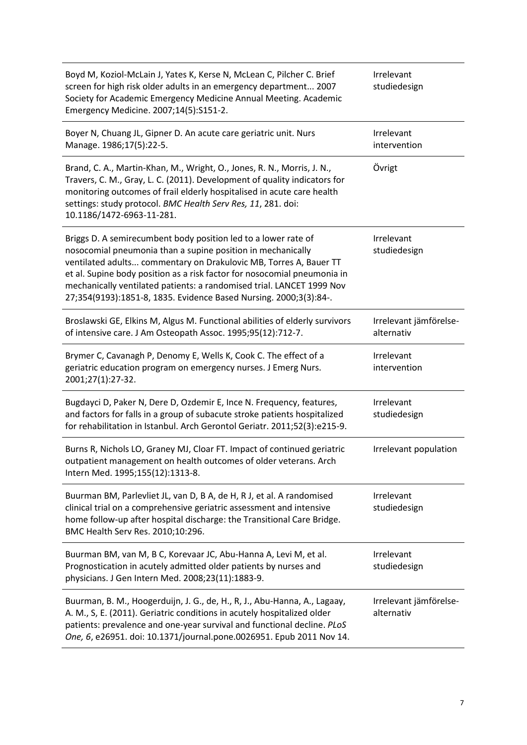| Boyd M, Koziol-McLain J, Yates K, Kerse N, McLean C, Pilcher C. Brief<br>screen for high risk older adults in an emergency department 2007<br>Society for Academic Emergency Medicine Annual Meeting. Academic<br>Emergency Medicine. 2007;14(5):S151-2.                                                                                                                                                                     | Irrelevant<br>studiedesign           |
|------------------------------------------------------------------------------------------------------------------------------------------------------------------------------------------------------------------------------------------------------------------------------------------------------------------------------------------------------------------------------------------------------------------------------|--------------------------------------|
| Boyer N, Chuang JL, Gipner D. An acute care geriatric unit. Nurs<br>Manage. 1986;17(5):22-5.                                                                                                                                                                                                                                                                                                                                 | Irrelevant<br>intervention           |
| Brand, C. A., Martin-Khan, M., Wright, O., Jones, R. N., Morris, J. N.,<br>Travers, C. M., Gray, L. C. (2011). Development of quality indicators for<br>monitoring outcomes of frail elderly hospitalised in acute care health<br>settings: study protocol. BMC Health Serv Res, 11, 281. doi:<br>10.1186/1472-6963-11-281.                                                                                                  | Övrigt                               |
| Briggs D. A semirecumbent body position led to a lower rate of<br>nosocomial pneumonia than a supine position in mechanically<br>ventilated adults commentary on Drakulovic MB, Torres A, Bauer TT<br>et al. Supine body position as a risk factor for nosocomial pneumonia in<br>mechanically ventilated patients: a randomised trial. LANCET 1999 Nov<br>27;354(9193):1851-8, 1835. Evidence Based Nursing. 2000;3(3):84-. | Irrelevant<br>studiedesign           |
| Broslawski GE, Elkins M, Algus M. Functional abilities of elderly survivors<br>of intensive care. J Am Osteopath Assoc. 1995;95(12):712-7.                                                                                                                                                                                                                                                                                   | Irrelevant jämförelse-<br>alternativ |
| Brymer C, Cavanagh P, Denomy E, Wells K, Cook C. The effect of a<br>geriatric education program on emergency nurses. J Emerg Nurs.<br>2001;27(1):27-32.                                                                                                                                                                                                                                                                      | Irrelevant<br>intervention           |
| Bugdayci D, Paker N, Dere D, Ozdemir E, Ince N. Frequency, features,<br>and factors for falls in a group of subacute stroke patients hospitalized<br>for rehabilitation in Istanbul. Arch Gerontol Geriatr. 2011;52(3):e215-9.                                                                                                                                                                                               | Irrelevant<br>studiedesign           |
| Burns R, Nichols LO, Graney MJ, Cloar FT. Impact of continued geriatric<br>outpatient management on health outcomes of older veterans. Arch<br>Intern Med. 1995;155(12):1313-8.                                                                                                                                                                                                                                              | Irrelevant population                |
| Buurman BM, Parlevliet JL, van D, B A, de H, R J, et al. A randomised<br>clinical trial on a comprehensive geriatric assessment and intensive<br>home follow-up after hospital discharge: the Transitional Care Bridge.<br>BMC Health Serv Res. 2010;10:296.                                                                                                                                                                 | Irrelevant<br>studiedesign           |
| Buurman BM, van M, B C, Korevaar JC, Abu-Hanna A, Levi M, et al.<br>Prognostication in acutely admitted older patients by nurses and<br>physicians. J Gen Intern Med. 2008;23(11):1883-9.                                                                                                                                                                                                                                    | Irrelevant<br>studiedesign           |
| Buurman, B. M., Hoogerduijn, J. G., de, H., R, J., Abu-Hanna, A., Lagaay,<br>A. M., S, E. (2011). Geriatric conditions in acutely hospitalized older<br>patients: prevalence and one-year survival and functional decline. PLoS<br>One, 6, e26951. doi: 10.1371/journal.pone.0026951. Epub 2011 Nov 14.                                                                                                                      | Irrelevant jämförelse-<br>alternativ |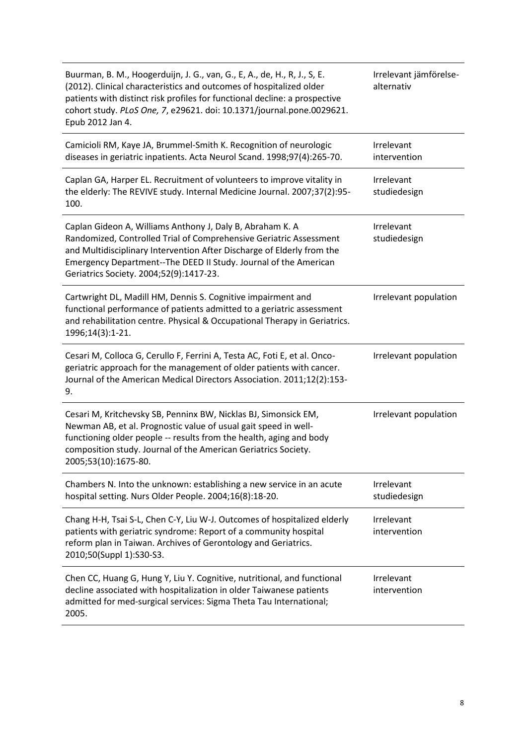| Buurman, B. M., Hoogerduijn, J. G., van, G., E, A., de, H., R, J., S, E.<br>(2012). Clinical characteristics and outcomes of hospitalized older<br>patients with distinct risk profiles for functional decline: a prospective<br>cohort study. PLoS One, 7, e29621. doi: 10.1371/journal.pone.0029621.<br>Epub 2012 Jan 4. | Irrelevant jämförelse-<br>alternativ |
|----------------------------------------------------------------------------------------------------------------------------------------------------------------------------------------------------------------------------------------------------------------------------------------------------------------------------|--------------------------------------|
| Camicioli RM, Kaye JA, Brummel-Smith K. Recognition of neurologic<br>diseases in geriatric inpatients. Acta Neurol Scand. 1998;97(4):265-70.                                                                                                                                                                               | Irrelevant<br>intervention           |
| Caplan GA, Harper EL. Recruitment of volunteers to improve vitality in<br>the elderly: The REVIVE study. Internal Medicine Journal. 2007;37(2):95-<br>100.                                                                                                                                                                 | Irrelevant<br>studiedesign           |
| Caplan Gideon A, Williams Anthony J, Daly B, Abraham K. A<br>Randomized, Controlled Trial of Comprehensive Geriatric Assessment<br>and Multidisciplinary Intervention After Discharge of Elderly from the<br>Emergency Department--The DEED II Study. Journal of the American<br>Geriatrics Society. 2004;52(9):1417-23.   | Irrelevant<br>studiedesign           |
| Cartwright DL, Madill HM, Dennis S. Cognitive impairment and<br>functional performance of patients admitted to a geriatric assessment<br>and rehabilitation centre. Physical & Occupational Therapy in Geriatrics.<br>1996;14(3):1-21.                                                                                     | Irrelevant population                |
| Cesari M, Colloca G, Cerullo F, Ferrini A, Testa AC, Foti E, et al. Onco-<br>geriatric approach for the management of older patients with cancer.<br>Journal of the American Medical Directors Association. 2011;12(2):153-<br>9.                                                                                          | Irrelevant population                |
| Cesari M, Kritchevsky SB, Penninx BW, Nicklas BJ, Simonsick EM,<br>Newman AB, et al. Prognostic value of usual gait speed in well-<br>functioning older people -- results from the health, aging and body<br>composition study. Journal of the American Geriatrics Society.<br>2005;53(10):1675-80.                        | Irrelevant population                |
| Chambers N. Into the unknown: establishing a new service in an acute<br>hospital setting. Nurs Older People. 2004;16(8):18-20.                                                                                                                                                                                             | Irrelevant<br>studiedesign           |
| Chang H-H, Tsai S-L, Chen C-Y, Liu W-J. Outcomes of hospitalized elderly<br>patients with geriatric syndrome: Report of a community hospital<br>reform plan in Taiwan. Archives of Gerontology and Geriatrics.<br>2010;50(Suppl 1):S30-S3.                                                                                 | Irrelevant<br>intervention           |
| Chen CC, Huang G, Hung Y, Liu Y. Cognitive, nutritional, and functional<br>decline associated with hospitalization in older Taiwanese patients<br>admitted for med-surgical services: Sigma Theta Tau International;<br>2005.                                                                                              | Irrelevant<br>intervention           |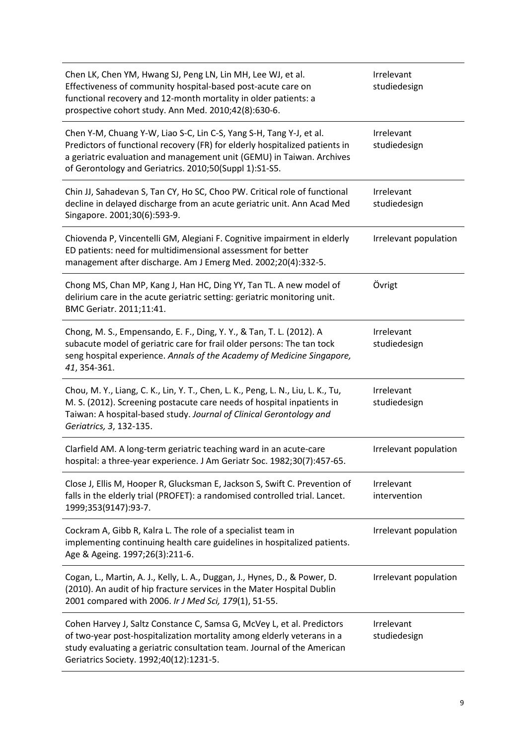| Chen LK, Chen YM, Hwang SJ, Peng LN, Lin MH, Lee WJ, et al.<br>Effectiveness of community hospital-based post-acute care on<br>functional recovery and 12-month mortality in older patients: a<br>prospective cohort study. Ann Med. 2010;42(8):630-6.                                | Irrelevant<br>studiedesign |
|---------------------------------------------------------------------------------------------------------------------------------------------------------------------------------------------------------------------------------------------------------------------------------------|----------------------------|
| Chen Y-M, Chuang Y-W, Liao S-C, Lin C-S, Yang S-H, Tang Y-J, et al.<br>Predictors of functional recovery (FR) for elderly hospitalized patients in<br>a geriatric evaluation and management unit (GEMU) in Taiwan. Archives<br>of Gerontology and Geriatrics. 2010;50(Suppl 1):S1-S5. | Irrelevant<br>studiedesign |
| Chin JJ, Sahadevan S, Tan CY, Ho SC, Choo PW. Critical role of functional<br>decline in delayed discharge from an acute geriatric unit. Ann Acad Med<br>Singapore. 2001;30(6):593-9.                                                                                                  | Irrelevant<br>studiedesign |
| Chiovenda P, Vincentelli GM, Alegiani F. Cognitive impairment in elderly<br>ED patients: need for multidimensional assessment for better<br>management after discharge. Am J Emerg Med. 2002;20(4):332-5.                                                                             | Irrelevant population      |
| Chong MS, Chan MP, Kang J, Han HC, Ding YY, Tan TL. A new model of<br>delirium care in the acute geriatric setting: geriatric monitoring unit.<br>BMC Geriatr. 2011;11:41.                                                                                                            | Övrigt                     |
| Chong, M. S., Empensando, E. F., Ding, Y. Y., & Tan, T. L. (2012). A<br>subacute model of geriatric care for frail older persons: The tan tock<br>seng hospital experience. Annals of the Academy of Medicine Singapore,<br>41, 354-361.                                              | Irrelevant<br>studiedesign |
| Chou, M. Y., Liang, C. K., Lin, Y. T., Chen, L. K., Peng, L. N., Liu, L. K., Tu,<br>M. S. (2012). Screening postacute care needs of hospital inpatients in<br>Taiwan: A hospital-based study. Journal of Clinical Gerontology and<br>Geriatrics, 3, 132-135.                          | Irrelevant<br>studiedesign |
| Clarfield AM. A long-term geriatric teaching ward in an acute-care<br>hospital: a three-year experience. J Am Geriatr Soc. 1982;30(7):457-65                                                                                                                                          | Irrelevant population      |
| Close J, Ellis M, Hooper R, Glucksman E, Jackson S, Swift C. Prevention of<br>falls in the elderly trial (PROFET): a randomised controlled trial. Lancet.<br>1999;353(9147):93-7.                                                                                                     | Irrelevant<br>intervention |
| Cockram A, Gibb R, Kalra L. The role of a specialist team in<br>implementing continuing health care guidelines in hospitalized patients.<br>Age & Ageing. 1997;26(3):211-6.                                                                                                           | Irrelevant population      |
| Cogan, L., Martin, A. J., Kelly, L. A., Duggan, J., Hynes, D., & Power, D.<br>(2010). An audit of hip fracture services in the Mater Hospital Dublin<br>2001 compared with 2006. Ir J Med Sci, 179(1), 51-55.                                                                         | Irrelevant population      |
| Cohen Harvey J, Saltz Constance C, Samsa G, McVey L, et al. Predictors<br>of two-year post-hospitalization mortality among elderly veterans in a<br>study evaluating a geriatric consultation team. Journal of the American<br>Geriatrics Society. 1992;40(12):1231-5.                | Irrelevant<br>studiedesign |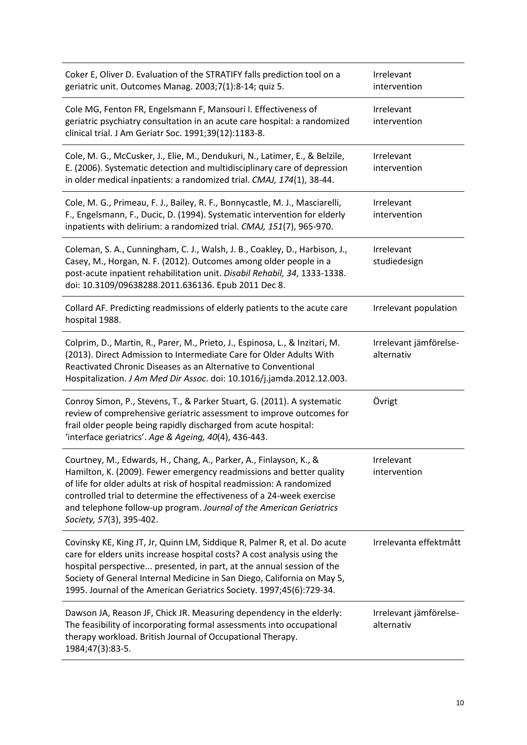| Coker E, Oliver D. Evaluation of the STRATIFY falls prediction tool on a<br>geriatric unit. Outcomes Manag. 2003;7(1):8-14; quiz 5.                                                                                                                                                                                                                                                              | Irrelevant<br>intervention           |
|--------------------------------------------------------------------------------------------------------------------------------------------------------------------------------------------------------------------------------------------------------------------------------------------------------------------------------------------------------------------------------------------------|--------------------------------------|
| Cole MG, Fenton FR, Engelsmann F, Mansouri I. Effectiveness of<br>geriatric psychiatry consultation in an acute care hospital: a randomized<br>clinical trial. J Am Geriatr Soc. 1991;39(12):1183-8.                                                                                                                                                                                             | Irrelevant<br>intervention           |
| Cole, M. G., McCusker, J., Elie, M., Dendukuri, N., Latimer, E., & Belzile,<br>E. (2006). Systematic detection and multidisciplinary care of depression<br>in older medical inpatients: a randomized trial. CMAJ, 174(1), 38-44.                                                                                                                                                                 | Irrelevant<br>intervention           |
| Cole, M. G., Primeau, F. J., Bailey, R. F., Bonnycastle, M. J., Masciarelli,<br>F., Engelsmann, F., Ducic, D. (1994). Systematic intervention for elderly<br>inpatients with delirium: a randomized trial. CMAJ, 151(7), 965-970.                                                                                                                                                                | Irrelevant<br>intervention           |
| Coleman, S. A., Cunningham, C. J., Walsh, J. B., Coakley, D., Harbison, J.,<br>Casey, M., Horgan, N. F. (2012). Outcomes among older people in a<br>post-acute inpatient rehabilitation unit. Disabil Rehabil, 34, 1333-1338.<br>doi: 10.3109/09638288.2011.636136. Epub 2011 Dec 8.                                                                                                             | Irrelevant<br>studiedesign           |
| Collard AF. Predicting readmissions of elderly patients to the acute care<br>hospital 1988.                                                                                                                                                                                                                                                                                                      | Irrelevant population                |
| Colprim, D., Martin, R., Parer, M., Prieto, J., Espinosa, L., & Inzitari, M.<br>(2013). Direct Admission to Intermediate Care for Older Adults With<br>Reactivated Chronic Diseases as an Alternative to Conventional<br>Hospitalization. J Am Med Dir Assoc. doi: 10.1016/j.jamda.2012.12.003.                                                                                                  | Irrelevant jämförelse-<br>alternativ |
| Conroy Simon, P., Stevens, T., & Parker Stuart, G. (2011). A systematic<br>review of comprehensive geriatric assessment to improve outcomes for<br>frail older people being rapidly discharged from acute hospital:<br>'interface geriatrics'. Age & Ageing, 40(4), 436-443.                                                                                                                     | Övrigt                               |
| Courtney, M., Edwards, H., Chang, A., Parker, A., Finlayson, K., &<br>Hamilton, K. (2009). Fewer emergency readmissions and better quality<br>of life for older adults at risk of hospital readmission: A randomized<br>controlled trial to determine the effectiveness of a 24-week exercise<br>and telephone follow-up program. Journal of the American Geriatrics<br>Society, 57(3), 395-402. | Irrelevant<br>intervention           |
| Covinsky KE, King JT, Jr, Quinn LM, Siddique R, Palmer R, et al. Do acute<br>care for elders units increase hospital costs? A cost analysis using the<br>hospital perspective presented, in part, at the annual session of the<br>Society of General Internal Medicine in San Diego, California on May 5,<br>1995. Journal of the American Geriatrics Society. 1997;45(6):729-34.                | Irrelevanta effektmått               |
| Dawson JA, Reason JF, Chick JR. Measuring dependency in the elderly:<br>The feasibility of incorporating formal assessments into occupational<br>therapy workload. British Journal of Occupational Therapy.<br>1984;47(3):83-5.                                                                                                                                                                  | Irrelevant jämförelse-<br>alternativ |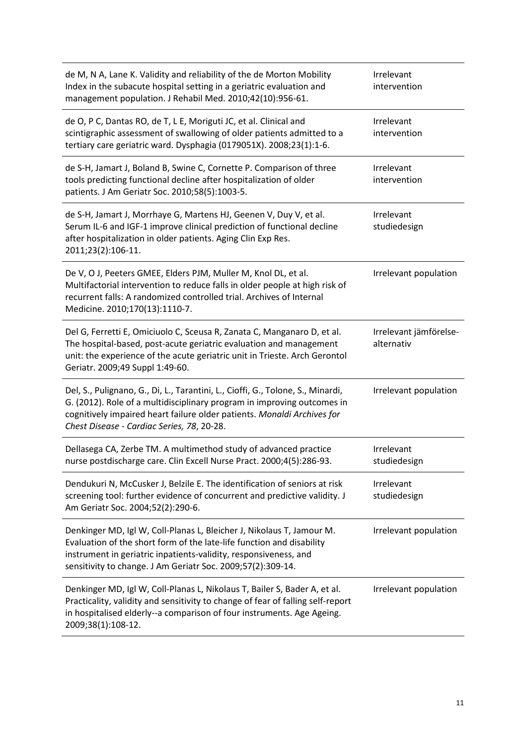| de M, N A, Lane K. Validity and reliability of the de Morton Mobility<br>Index in the subacute hospital setting in a geriatric evaluation and<br>management population. J Rehabil Med. 2010;42(10):956-61.                                                                          | Irrelevant<br>intervention           |
|-------------------------------------------------------------------------------------------------------------------------------------------------------------------------------------------------------------------------------------------------------------------------------------|--------------------------------------|
| de O, P C, Dantas RO, de T, L E, Moriguti JC, et al. Clinical and<br>scintigraphic assessment of swallowing of older patients admitted to a<br>tertiary care geriatric ward. Dysphagia (0179051X). 2008;23(1):1-6.                                                                  | Irrelevant<br>intervention           |
| de S-H, Jamart J, Boland B, Swine C, Cornette P. Comparison of three<br>tools predicting functional decline after hospitalization of older<br>patients. J Am Geriatr Soc. 2010;58(5):1003-5.                                                                                        | Irrelevant<br>intervention           |
| de S-H, Jamart J, Morrhaye G, Martens HJ, Geenen V, Duy V, et al.<br>Serum IL-6 and IGF-1 improve clinical prediction of functional decline<br>after hospitalization in older patients. Aging Clin Exp Res.<br>2011;23(2):106-11.                                                   | Irrelevant<br>studiedesign           |
| De V, O J, Peeters GMEE, Elders PJM, Muller M, Knol DL, et al.<br>Multifactorial intervention to reduce falls in older people at high risk of<br>recurrent falls: A randomized controlled trial. Archives of Internal<br>Medicine. 2010;170(13):1110-7.                             | Irrelevant population                |
| Del G, Ferretti E, Omiciuolo C, Sceusa R, Zanata C, Manganaro D, et al.<br>The hospital-based, post-acute geriatric evaluation and management<br>unit: the experience of the acute geriatric unit in Trieste. Arch Gerontol<br>Geriatr. 2009;49 Suppl 1:49-60.                      | Irrelevant jämförelse-<br>alternativ |
| Del, S., Pulignano, G., Di, L., Tarantini, L., Cioffi, G., Tolone, S., Minardi,<br>G. (2012). Role of a multidisciplinary program in improving outcomes in<br>cognitively impaired heart failure older patients. Monaldi Archives for<br>Chest Disease - Cardiac Series, 78, 20-28. | Irrelevant population                |
| Dellasega CA, Zerbe TM. A multimethod study of advanced practice<br>nurse postdischarge care. Clin Excell Nurse Pract. 2000;4(5):286-93.                                                                                                                                            | Irrelevant<br>studiedesign           |
| Dendukuri N, McCusker J, Belzile E. The identification of seniors at risk<br>screening tool: further evidence of concurrent and predictive validity. J<br>Am Geriatr Soc. 2004;52(2):290-6.                                                                                         | Irrelevant<br>studiedesign           |
| Denkinger MD, Igl W, Coll-Planas L, Bleicher J, Nikolaus T, Jamour M.<br>Evaluation of the short form of the late-life function and disability<br>instrument in geriatric inpatients-validity, responsiveness, and<br>sensitivity to change. J Am Geriatr Soc. 2009;57(2):309-14.   | Irrelevant population                |
| Denkinger MD, Igl W, Coll-Planas L, Nikolaus T, Bailer S, Bader A, et al.<br>Practicality, validity and sensitivity to change of fear of falling self-report<br>in hospitalised elderly--a comparison of four instruments. Age Ageing.<br>2009;38(1):108-12.                        | Irrelevant population                |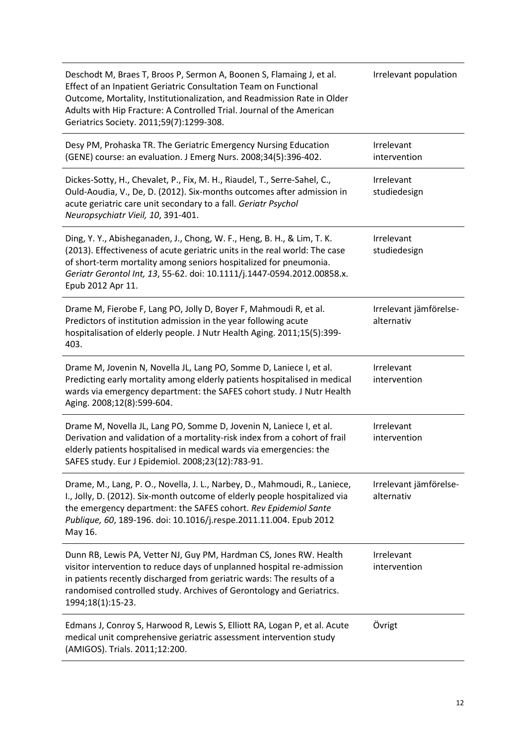| Deschodt M, Braes T, Broos P, Sermon A, Boonen S, Flamaing J, et al.<br>Effect of an Inpatient Geriatric Consultation Team on Functional<br>Outcome, Mortality, Institutionalization, and Readmission Rate in Older<br>Adults with Hip Fracture: A Controlled Trial. Journal of the American<br>Geriatrics Society. 2011;59(7):1299-308. | Irrelevant population                |
|------------------------------------------------------------------------------------------------------------------------------------------------------------------------------------------------------------------------------------------------------------------------------------------------------------------------------------------|--------------------------------------|
| Desy PM, Prohaska TR. The Geriatric Emergency Nursing Education<br>(GENE) course: an evaluation. J Emerg Nurs. 2008;34(5):396-402.                                                                                                                                                                                                       | Irrelevant<br>intervention           |
| Dickes-Sotty, H., Chevalet, P., Fix, M. H., Riaudel, T., Serre-Sahel, C.,<br>Ould-Aoudia, V., De, D. (2012). Six-months outcomes after admission in<br>acute geriatric care unit secondary to a fall. Geriatr Psychol<br>Neuropsychiatr Vieil, 10, 391-401.                                                                              | Irrelevant<br>studiedesign           |
| Ding, Y. Y., Abisheganaden, J., Chong, W. F., Heng, B. H., & Lim, T. K.<br>(2013). Effectiveness of acute geriatric units in the real world: The case<br>of short-term mortality among seniors hospitalized for pneumonia.<br>Geriatr Gerontol Int, 13, 55-62. doi: 10.1111/j.1447-0594.2012.00858.x.<br>Epub 2012 Apr 11.               | Irrelevant<br>studiedesign           |
| Drame M, Fierobe F, Lang PO, Jolly D, Boyer F, Mahmoudi R, et al.<br>Predictors of institution admission in the year following acute<br>hospitalisation of elderly people. J Nutr Health Aging. 2011;15(5):399-<br>403.                                                                                                                  | Irrelevant jämförelse-<br>alternativ |
| Drame M, Jovenin N, Novella JL, Lang PO, Somme D, Laniece I, et al.<br>Predicting early mortality among elderly patients hospitalised in medical<br>wards via emergency department: the SAFES cohort study. J Nutr Health<br>Aging. 2008;12(8):599-604.                                                                                  | Irrelevant<br>intervention           |
| Drame M, Novella JL, Lang PO, Somme D, Jovenin N, Laniece I, et al.<br>Derivation and validation of a mortality-risk index from a cohort of frail<br>elderly patients hospitalised in medical wards via emergencies: the<br>SAFES study. Eur J Epidemiol. 2008;23(12):783-91.                                                            | Irrelevant<br>intervention           |
| Drame, M., Lang, P. O., Novella, J. L., Narbey, D., Mahmoudi, R., Laniece,<br>I., Jolly, D. (2012). Six-month outcome of elderly people hospitalized via<br>the emergency department: the SAFES cohort. Rev Epidemiol Sante<br>Publique, 60, 189-196. doi: 10.1016/j.respe.2011.11.004. Epub 2012<br>May 16.                             | Irrelevant jämförelse-<br>alternativ |
| Dunn RB, Lewis PA, Vetter NJ, Guy PM, Hardman CS, Jones RW. Health<br>visitor intervention to reduce days of unplanned hospital re-admission<br>in patients recently discharged from geriatric wards: The results of a<br>randomised controlled study. Archives of Gerontology and Geriatrics.<br>1994;18(1):15-23.                      | Irrelevant<br>intervention           |
| Edmans J, Conroy S, Harwood R, Lewis S, Elliott RA, Logan P, et al. Acute<br>medical unit comprehensive geriatric assessment intervention study<br>(AMIGOS). Trials. 2011;12:200.                                                                                                                                                        | Övrigt                               |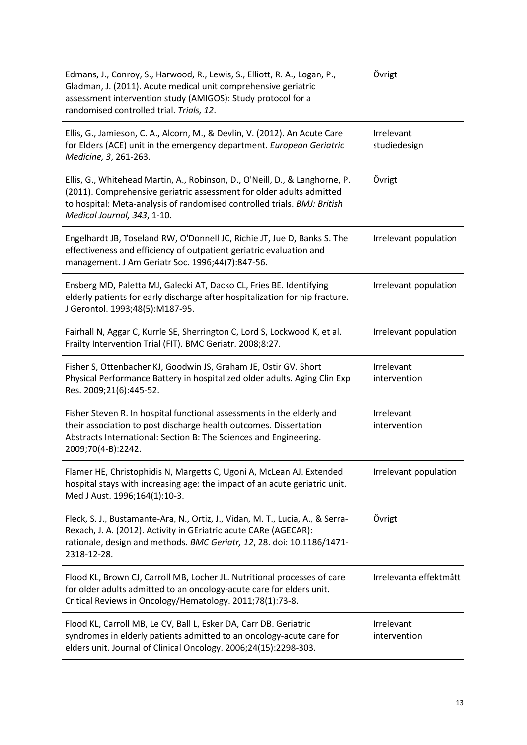| Edmans, J., Conroy, S., Harwood, R., Lewis, S., Elliott, R. A., Logan, P.,<br>Gladman, J. (2011). Acute medical unit comprehensive geriatric<br>assessment intervention study (AMIGOS): Study protocol for a<br>randomised controlled trial. Trials, 12.       | Övrigt                     |
|----------------------------------------------------------------------------------------------------------------------------------------------------------------------------------------------------------------------------------------------------------------|----------------------------|
| Ellis, G., Jamieson, C. A., Alcorn, M., & Devlin, V. (2012). An Acute Care<br>for Elders (ACE) unit in the emergency department. European Geriatric<br>Medicine, 3, 261-263.                                                                                   | Irrelevant<br>studiedesign |
| Ellis, G., Whitehead Martin, A., Robinson, D., O'Neill, D., & Langhorne, P.<br>(2011). Comprehensive geriatric assessment for older adults admitted<br>to hospital: Meta-analysis of randomised controlled trials. BMJ: British<br>Medical Journal, 343, 1-10. | Övrigt                     |
| Engelhardt JB, Toseland RW, O'Donnell JC, Richie JT, Jue D, Banks S. The<br>effectiveness and efficiency of outpatient geriatric evaluation and<br>management. J Am Geriatr Soc. 1996;44(7):847-56.                                                            | Irrelevant population      |
| Ensberg MD, Paletta MJ, Galecki AT, Dacko CL, Fries BE. Identifying<br>elderly patients for early discharge after hospitalization for hip fracture.<br>J Gerontol. 1993;48(5):M187-95.                                                                         | Irrelevant population      |
| Fairhall N, Aggar C, Kurrle SE, Sherrington C, Lord S, Lockwood K, et al.<br>Frailty Intervention Trial (FIT). BMC Geriatr. 2008;8:27.                                                                                                                         | Irrelevant population      |
| Fisher S, Ottenbacher KJ, Goodwin JS, Graham JE, Ostir GV. Short<br>Physical Performance Battery in hospitalized older adults. Aging Clin Exp<br>Res. 2009;21(6):445-52.                                                                                       | Irrelevant<br>intervention |
| Fisher Steven R. In hospital functional assessments in the elderly and<br>their association to post discharge health outcomes. Dissertation<br>Abstracts International: Section B: The Sciences and Engineering.<br>2009;70(4-B):2242.                         | Irrelevant<br>intervention |
| Flamer HE, Christophidis N, Margetts C, Ugoni A, McLean AJ. Extended<br>hospital stays with increasing age: the impact of an acute geriatric unit.<br>Med J Aust. 1996;164(1):10-3.                                                                            | Irrelevant population      |
| Fleck, S. J., Bustamante-Ara, N., Ortiz, J., Vidan, M. T., Lucia, A., & Serra-<br>Rexach, J. A. (2012). Activity in GEriatric acute CARe (AGECAR):<br>rationale, design and methods. BMC Geriatr, 12, 28. doi: 10.1186/1471-<br>2318-12-28.                    | Övrigt                     |
| Flood KL, Brown CJ, Carroll MB, Locher JL. Nutritional processes of care<br>for older adults admitted to an oncology-acute care for elders unit.<br>Critical Reviews in Oncology/Hematology. 2011;78(1):73-8.                                                  | Irrelevanta effektmått     |
| Flood KL, Carroll MB, Le CV, Ball L, Esker DA, Carr DB. Geriatric<br>syndromes in elderly patients admitted to an oncology-acute care for<br>elders unit. Journal of Clinical Oncology. 2006;24(15):2298-303.                                                  | Irrelevant<br>intervention |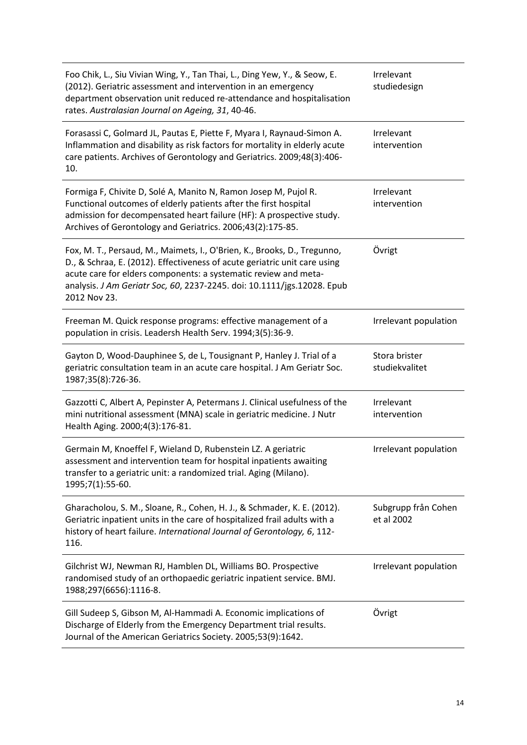| Foo Chik, L., Siu Vivian Wing, Y., Tan Thai, L., Ding Yew, Y., & Seow, E.<br>(2012). Geriatric assessment and intervention in an emergency<br>department observation unit reduced re-attendance and hospitalisation<br>rates. Australasian Journal on Ageing, 31, 40-46.                                            | Irrelevant<br>studiedesign        |
|---------------------------------------------------------------------------------------------------------------------------------------------------------------------------------------------------------------------------------------------------------------------------------------------------------------------|-----------------------------------|
| Forasassi C, Golmard JL, Pautas E, Piette F, Myara I, Raynaud-Simon A.<br>Inflammation and disability as risk factors for mortality in elderly acute<br>care patients. Archives of Gerontology and Geriatrics. 2009;48(3):406-<br>10.                                                                               | Irrelevant<br>intervention        |
| Formiga F, Chivite D, Solé A, Manito N, Ramon Josep M, Pujol R.<br>Functional outcomes of elderly patients after the first hospital<br>admission for decompensated heart failure (HF): A prospective study.<br>Archives of Gerontology and Geriatrics. 2006;43(2):175-85.                                           | Irrelevant<br>intervention        |
| Fox, M. T., Persaud, M., Maimets, I., O'Brien, K., Brooks, D., Tregunno,<br>D., & Schraa, E. (2012). Effectiveness of acute geriatric unit care using<br>acute care for elders components: a systematic review and meta-<br>analysis. J Am Geriatr Soc, 60, 2237-2245. doi: 10.1111/jgs.12028. Epub<br>2012 Nov 23. | Övrigt                            |
| Freeman M. Quick response programs: effective management of a<br>population in crisis. Leadersh Health Serv. 1994;3(5):36-9.                                                                                                                                                                                        | Irrelevant population             |
| Gayton D, Wood-Dauphinee S, de L, Tousignant P, Hanley J. Trial of a<br>geriatric consultation team in an acute care hospital. J Am Geriatr Soc.<br>1987;35(8):726-36.                                                                                                                                              | Stora brister<br>studiekvalitet   |
| Gazzotti C, Albert A, Pepinster A, Petermans J. Clinical usefulness of the<br>mini nutritional assessment (MNA) scale in geriatric medicine. J Nutr<br>Health Aging. 2000;4(3):176-81.                                                                                                                              | Irrelevant<br>intervention        |
| Germain M, Knoeffel F, Wieland D, Rubenstein LZ. A geriatric<br>assessment and intervention team for hospital inpatients awaiting<br>transfer to a geriatric unit: a randomized trial. Aging (Milano).<br>1995;7(1):55-60.                                                                                          | Irrelevant population             |
| Gharacholou, S. M., Sloane, R., Cohen, H. J., & Schmader, K. E. (2012).<br>Geriatric inpatient units in the care of hospitalized frail adults with a<br>history of heart failure. International Journal of Gerontology, 6, 112-<br>116.                                                                             | Subgrupp från Cohen<br>et al 2002 |
| Gilchrist WJ, Newman RJ, Hamblen DL, Williams BO. Prospective<br>randomised study of an orthopaedic geriatric inpatient service. BMJ.<br>1988;297(6656):1116-8.                                                                                                                                                     | Irrelevant population             |
| Gill Sudeep S, Gibson M, Al-Hammadi A. Economic implications of<br>Discharge of Elderly from the Emergency Department trial results.<br>Journal of the American Geriatrics Society. 2005;53(9):1642.                                                                                                                | Övrigt                            |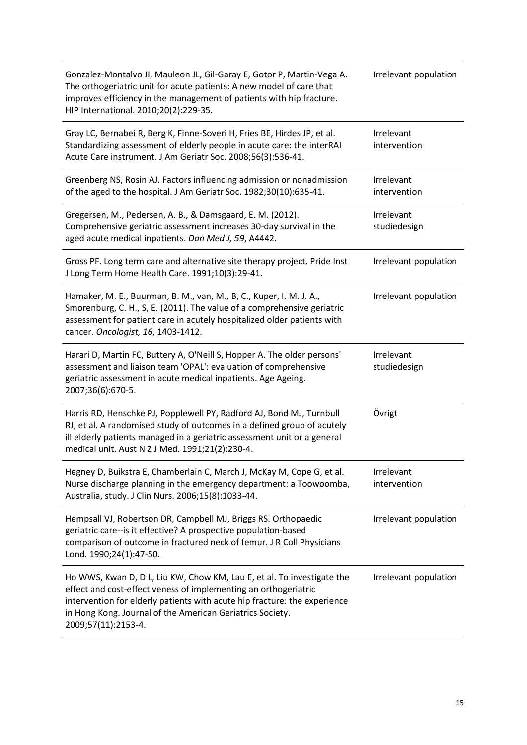| Gonzalez-Montalvo JI, Mauleon JL, Gil-Garay E, Gotor P, Martin-Vega A.<br>The orthogeriatric unit for acute patients: A new model of care that<br>improves efficiency in the management of patients with hip fracture.<br>HIP International. 2010;20(2):229-35.                                            | Irrelevant population      |
|------------------------------------------------------------------------------------------------------------------------------------------------------------------------------------------------------------------------------------------------------------------------------------------------------------|----------------------------|
| Gray LC, Bernabei R, Berg K, Finne-Soveri H, Fries BE, Hirdes JP, et al.<br>Standardizing assessment of elderly people in acute care: the interRAI<br>Acute Care instrument. J Am Geriatr Soc. 2008;56(3):536-41.                                                                                          | Irrelevant<br>intervention |
| Greenberg NS, Rosin AJ. Factors influencing admission or nonadmission<br>of the aged to the hospital. J Am Geriatr Soc. 1982;30(10):635-41.                                                                                                                                                                | Irrelevant<br>intervention |
| Gregersen, M., Pedersen, A. B., & Damsgaard, E. M. (2012).<br>Comprehensive geriatric assessment increases 30-day survival in the<br>aged acute medical inpatients. Dan Med J, 59, A4442.                                                                                                                  | Irrelevant<br>studiedesign |
| Gross PF. Long term care and alternative site therapy project. Pride Inst<br>J Long Term Home Health Care. 1991;10(3):29-41.                                                                                                                                                                               | Irrelevant population      |
| Hamaker, M. E., Buurman, B. M., van, M., B, C., Kuper, I. M. J. A.,<br>Smorenburg, C. H., S, E. (2011). The value of a comprehensive geriatric<br>assessment for patient care in acutely hospitalized older patients with<br>cancer. Oncologist, 16, 1403-1412.                                            | Irrelevant population      |
| Harari D, Martin FC, Buttery A, O'Neill S, Hopper A. The older persons'<br>assessment and liaison team 'OPAL': evaluation of comprehensive<br>geriatric assessment in acute medical inpatients. Age Ageing.<br>2007;36(6):670-5.                                                                           | Irrelevant<br>studiedesign |
| Harris RD, Henschke PJ, Popplewell PY, Radford AJ, Bond MJ, Turnbull<br>RJ, et al. A randomised study of outcomes in a defined group of acutely<br>ill elderly patients managed in a geriatric assessment unit or a general<br>medical unit. Aust N Z J Med. 1991;21(2):230-4.                             | Övrigt                     |
| Hegney D, Buikstra E, Chamberlain C, March J, McKay M, Cope G, et al.<br>Nurse discharge planning in the emergency department: a Toowoomba,<br>Australia, study. J Clin Nurs. 2006;15(8):1033-44.                                                                                                          | Irrelevant<br>intervention |
| Hempsall VJ, Robertson DR, Campbell MJ, Briggs RS. Orthopaedic<br>geriatric care--is it effective? A prospective population-based<br>comparison of outcome in fractured neck of femur. J R Coll Physicians<br>Lond. 1990;24(1):47-50.                                                                      | Irrelevant population      |
| Ho WWS, Kwan D, D L, Liu KW, Chow KM, Lau E, et al. To investigate the<br>effect and cost-effectiveness of implementing an orthogeriatric<br>intervention for elderly patients with acute hip fracture: the experience<br>in Hong Kong. Journal of the American Geriatrics Society.<br>2009;57(11):2153-4. | Irrelevant population      |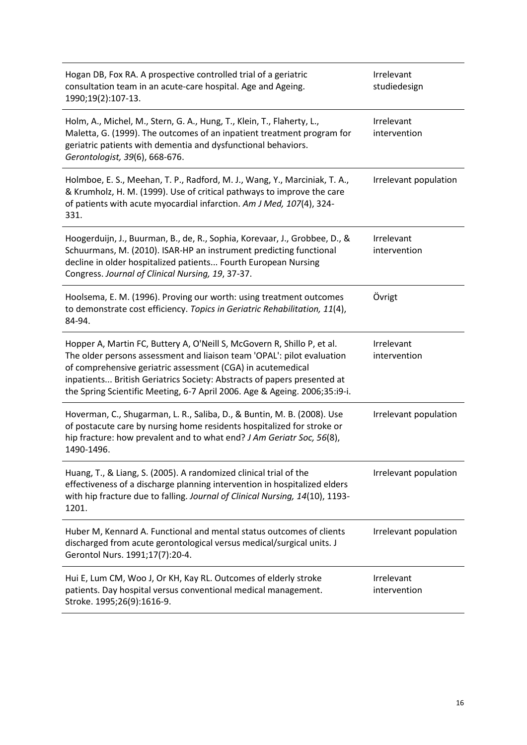| Hogan DB, Fox RA. A prospective controlled trial of a geriatric<br>consultation team in an acute-care hospital. Age and Ageing.<br>1990;19(2):107-13.                                                                                                                                                                                                                     | Irrelevant<br>studiedesign |
|---------------------------------------------------------------------------------------------------------------------------------------------------------------------------------------------------------------------------------------------------------------------------------------------------------------------------------------------------------------------------|----------------------------|
| Holm, A., Michel, M., Stern, G. A., Hung, T., Klein, T., Flaherty, L.,<br>Maletta, G. (1999). The outcomes of an inpatient treatment program for<br>geriatric patients with dementia and dysfunctional behaviors.<br>Gerontologist, 39(6), 668-676.                                                                                                                       | Irrelevant<br>intervention |
| Holmboe, E. S., Meehan, T. P., Radford, M. J., Wang, Y., Marciniak, T. A.,<br>& Krumholz, H. M. (1999). Use of critical pathways to improve the care<br>of patients with acute myocardial infarction. Am J Med, 107(4), 324-<br>331.                                                                                                                                      | Irrelevant population      |
| Hoogerduijn, J., Buurman, B., de, R., Sophia, Korevaar, J., Grobbee, D., &<br>Schuurmans, M. (2010). ISAR-HP an instrument predicting functional<br>decline in older hospitalized patients Fourth European Nursing<br>Congress. Journal of Clinical Nursing, 19, 37-37.                                                                                                   | Irrelevant<br>intervention |
| Hoolsema, E. M. (1996). Proving our worth: using treatment outcomes<br>to demonstrate cost efficiency. Topics in Geriatric Rehabilitation, 11(4),<br>84-94.                                                                                                                                                                                                               | Övrigt                     |
| Hopper A, Martin FC, Buttery A, O'Neill S, McGovern R, Shillo P, et al.<br>The older persons assessment and liaison team 'OPAL': pilot evaluation<br>of comprehensive geriatric assessment (CGA) in acutemedical<br>inpatients British Geriatrics Society: Abstracts of papers presented at<br>the Spring Scientific Meeting, 6-7 April 2006. Age & Ageing. 2006;35:i9-i. | Irrelevant<br>intervention |
| Hoverman, C., Shugarman, L. R., Saliba, D., & Buntin, M. B. (2008). Use<br>of postacute care by nursing home residents hospitalized for stroke or<br>hip fracture: how prevalent and to what end? J Am Geriatr Soc, 56(8),<br>1490-1496.                                                                                                                                  | Irrelevant population      |
| Huang, T., & Liang, S. (2005). A randomized clinical trial of the<br>effectiveness of a discharge planning intervention in hospitalized elders<br>with hip fracture due to falling. Journal of Clinical Nursing, 14(10), 1193-<br>1201.                                                                                                                                   | Irrelevant population      |
| Huber M, Kennard A. Functional and mental status outcomes of clients<br>discharged from acute gerontological versus medical/surgical units. J<br>Gerontol Nurs. 1991;17(7):20-4.                                                                                                                                                                                          | Irrelevant population      |
| Hui E, Lum CM, Woo J, Or KH, Kay RL. Outcomes of elderly stroke<br>patients. Day hospital versus conventional medical management.<br>Stroke. 1995;26(9):1616-9.                                                                                                                                                                                                           | Irrelevant<br>intervention |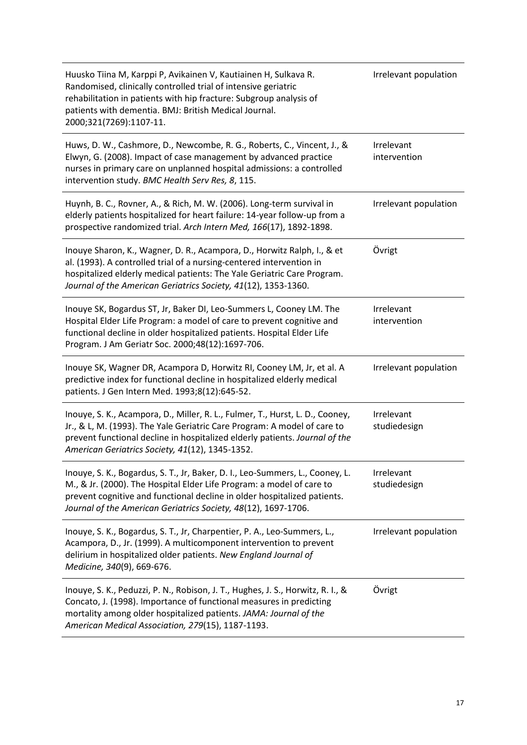| Huusko Tiina M, Karppi P, Avikainen V, Kautiainen H, Sulkava R.<br>Randomised, clinically controlled trial of intensive geriatric<br>rehabilitation in patients with hip fracture: Subgroup analysis of<br>patients with dementia. BMJ: British Medical Journal.<br>2000;321(7269):1107-11.          | Irrelevant population      |
|------------------------------------------------------------------------------------------------------------------------------------------------------------------------------------------------------------------------------------------------------------------------------------------------------|----------------------------|
| Huws, D. W., Cashmore, D., Newcombe, R. G., Roberts, C., Vincent, J., &<br>Elwyn, G. (2008). Impact of case management by advanced practice<br>nurses in primary care on unplanned hospital admissions: a controlled<br>intervention study. BMC Health Serv Res, 8, 115.                             | Irrelevant<br>intervention |
| Huynh, B. C., Rovner, A., & Rich, M. W. (2006). Long-term survival in<br>elderly patients hospitalized for heart failure: 14-year follow-up from a<br>prospective randomized trial. Arch Intern Med, 166(17), 1892-1898.                                                                             | Irrelevant population      |
| Inouye Sharon, K., Wagner, D. R., Acampora, D., Horwitz Ralph, I., & et<br>al. (1993). A controlled trial of a nursing-centered intervention in<br>hospitalized elderly medical patients: The Yale Geriatric Care Program.<br>Journal of the American Geriatrics Society, 41(12), 1353-1360.         | Övrigt                     |
| Inouye SK, Bogardus ST, Jr, Baker DI, Leo-Summers L, Cooney LM. The<br>Hospital Elder Life Program: a model of care to prevent cognitive and<br>functional decline in older hospitalized patients. Hospital Elder Life<br>Program. J Am Geriatr Soc. 2000;48(12):1697-706.                           | Irrelevant<br>intervention |
| Inouye SK, Wagner DR, Acampora D, Horwitz RI, Cooney LM, Jr, et al. A<br>predictive index for functional decline in hospitalized elderly medical<br>patients. J Gen Intern Med. 1993;8(12):645-52.                                                                                                   | Irrelevant population      |
| Inouye, S. K., Acampora, D., Miller, R. L., Fulmer, T., Hurst, L. D., Cooney,<br>Jr., & L, M. (1993). The Yale Geriatric Care Program: A model of care to<br>prevent functional decline in hospitalized elderly patients. Journal of the<br>American Geriatrics Society, 41(12), 1345-1352.          | Irrelevant<br>studiedesign |
| Inouye, S. K., Bogardus, S. T., Jr, Baker, D. I., Leo-Summers, L., Cooney, L.<br>M., & Jr. (2000). The Hospital Elder Life Program: a model of care to<br>prevent cognitive and functional decline in older hospitalized patients.<br>Journal of the American Geriatrics Society, 48(12), 1697-1706. | Irrelevant<br>studiedesign |
| Inouye, S. K., Bogardus, S. T., Jr, Charpentier, P. A., Leo-Summers, L.,<br>Acampora, D., Jr. (1999). A multicomponent intervention to prevent<br>delirium in hospitalized older patients. New England Journal of<br>Medicine, 340(9), 669-676.                                                      | Irrelevant population      |
| Inouye, S. K., Peduzzi, P. N., Robison, J. T., Hughes, J. S., Horwitz, R. I., &<br>Concato, J. (1998). Importance of functional measures in predicting<br>mortality among older hospitalized patients. JAMA: Journal of the<br>American Medical Association, 279(15), 1187-1193.                     | Övrigt                     |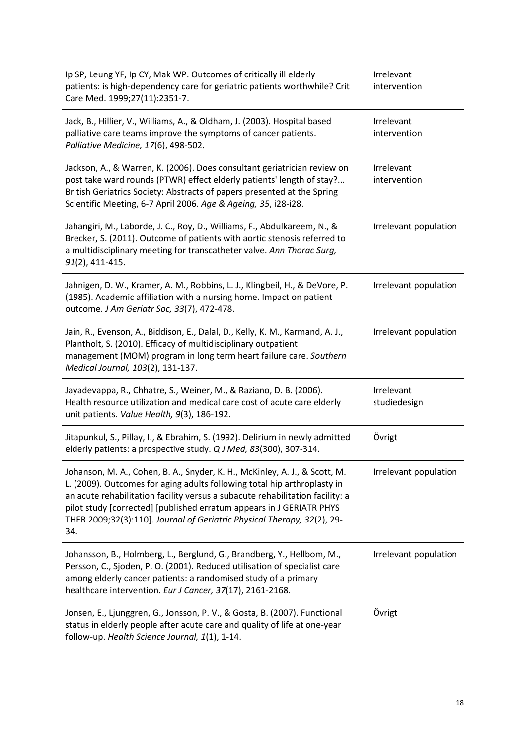| Ip SP, Leung YF, Ip CY, Mak WP. Outcomes of critically ill elderly<br>patients: is high-dependency care for geriatric patients worthwhile? Crit<br>Care Med. 1999;27(11):2351-7.                                                                                                                                                                                                                  | Irrelevant<br>intervention |
|---------------------------------------------------------------------------------------------------------------------------------------------------------------------------------------------------------------------------------------------------------------------------------------------------------------------------------------------------------------------------------------------------|----------------------------|
| Jack, B., Hillier, V., Williams, A., & Oldham, J. (2003). Hospital based<br>palliative care teams improve the symptoms of cancer patients.<br>Palliative Medicine, 17(6), 498-502.                                                                                                                                                                                                                | Irrelevant<br>intervention |
| Jackson, A., & Warren, K. (2006). Does consultant geriatrician review on<br>post take ward rounds (PTWR) effect elderly patients' length of stay?<br>British Geriatrics Society: Abstracts of papers presented at the Spring<br>Scientific Meeting, 6-7 April 2006. Age & Ageing, 35, i28-i28.                                                                                                    | Irrelevant<br>intervention |
| Jahangiri, M., Laborde, J. C., Roy, D., Williams, F., Abdulkareem, N., &<br>Brecker, S. (2011). Outcome of patients with aortic stenosis referred to<br>a multidisciplinary meeting for transcatheter valve. Ann Thorac Surg,<br>91(2), 411-415.                                                                                                                                                  | Irrelevant population      |
| Jahnigen, D. W., Kramer, A. M., Robbins, L. J., Klingbeil, H., & DeVore, P.<br>(1985). Academic affiliation with a nursing home. Impact on patient<br>outcome. J Am Geriatr Soc, 33(7), 472-478.                                                                                                                                                                                                  | Irrelevant population      |
| Jain, R., Evenson, A., Biddison, E., Dalal, D., Kelly, K. M., Karmand, A. J.,<br>Plantholt, S. (2010). Efficacy of multidisciplinary outpatient<br>management (MOM) program in long term heart failure care. Southern<br>Medical Journal, 103(2), 131-137.                                                                                                                                        | Irrelevant population      |
| Jayadevappa, R., Chhatre, S., Weiner, M., & Raziano, D. B. (2006).<br>Health resource utilization and medical care cost of acute care elderly<br>unit patients. Value Health, 9(3), 186-192.                                                                                                                                                                                                      | Irrelevant<br>studiedesign |
| Jitapunkul, S., Pillay, I., & Ebrahim, S. (1992). Delirium in newly admitted<br>elderly patients: a prospective study. Q J Med, 83(300), 307-314.                                                                                                                                                                                                                                                 | Övrigt                     |
| Johanson, M. A., Cohen, B. A., Snyder, K. H., McKinley, A. J., & Scott, M.<br>L. (2009). Outcomes for aging adults following total hip arthroplasty in<br>an acute rehabilitation facility versus a subacute rehabilitation facility: a<br>pilot study [corrected] [published erratum appears in J GERIATR PHYS<br>THER 2009;32(3):110]. Journal of Geriatric Physical Therapy, 32(2), 29-<br>34. | Irrelevant population      |
| Johansson, B., Holmberg, L., Berglund, G., Brandberg, Y., Hellbom, M.,<br>Persson, C., Sjoden, P. O. (2001). Reduced utilisation of specialist care<br>among elderly cancer patients: a randomised study of a primary<br>healthcare intervention. Eur J Cancer, 37(17), 2161-2168.                                                                                                                | Irrelevant population      |
| Jonsen, E., Ljunggren, G., Jonsson, P. V., & Gosta, B. (2007). Functional<br>status in elderly people after acute care and quality of life at one-year<br>follow-up. Health Science Journal, 1(1), 1-14.                                                                                                                                                                                          | Övrigt                     |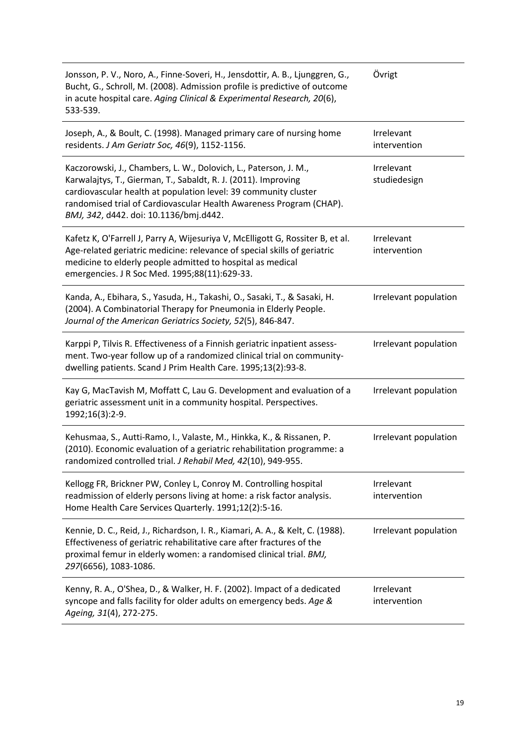| Jonsson, P. V., Noro, A., Finne-Soveri, H., Jensdottir, A. B., Ljunggren, G.,<br>Bucht, G., Schroll, M. (2008). Admission profile is predictive of outcome<br>in acute hospital care. Aging Clinical & Experimental Research, 20(6),<br>533-539.                                                                       | Övrigt                     |
|------------------------------------------------------------------------------------------------------------------------------------------------------------------------------------------------------------------------------------------------------------------------------------------------------------------------|----------------------------|
| Joseph, A., & Boult, C. (1998). Managed primary care of nursing home<br>residents. J Am Geriatr Soc, 46(9), 1152-1156.                                                                                                                                                                                                 | Irrelevant<br>intervention |
| Kaczorowski, J., Chambers, L. W., Dolovich, L., Paterson, J. M.,<br>Karwalajtys, T., Gierman, T., Sabaldt, R. J. (2011). Improving<br>cardiovascular health at population level: 39 community cluster<br>randomised trial of Cardiovascular Health Awareness Program (CHAP).<br>BMJ, 342, d442. doi: 10.1136/bmj.d442. | Irrelevant<br>studiedesign |
| Kafetz K, O'Farrell J, Parry A, Wijesuriya V, McElligott G, Rossiter B, et al.<br>Age-related geriatric medicine: relevance of special skills of geriatric<br>medicine to elderly people admitted to hospital as medical<br>emergencies. J R Soc Med. 1995;88(11):629-33.                                              | Irrelevant<br>intervention |
| Kanda, A., Ebihara, S., Yasuda, H., Takashi, O., Sasaki, T., & Sasaki, H.<br>(2004). A Combinatorial Therapy for Pneumonia in Elderly People.<br>Journal of the American Geriatrics Society, 52(5), 846-847.                                                                                                           | Irrelevant population      |
| Karppi P, Tilvis R. Effectiveness of a Finnish geriatric inpatient assess-<br>ment. Two-year follow up of a randomized clinical trial on community-<br>dwelling patients. Scand J Prim Health Care. 1995;13(2):93-8.                                                                                                   | Irrelevant population      |
| Kay G, MacTavish M, Moffatt C, Lau G. Development and evaluation of a<br>geriatric assessment unit in a community hospital. Perspectives.<br>1992;16(3):2-9.                                                                                                                                                           | Irrelevant population      |
| Kehusmaa, S., Autti-Ramo, I., Valaste, M., Hinkka, K., & Rissanen, P.<br>(2010). Economic evaluation of a geriatric rehabilitation programme: a<br>randomized controlled trial. J Rehabil Med, 42(10), 949-955.                                                                                                        | Irrelevant population      |
| Kellogg FR, Brickner PW, Conley L, Conroy M. Controlling hospital<br>readmission of elderly persons living at home: a risk factor analysis.<br>Home Health Care Services Quarterly. 1991;12(2):5-16.                                                                                                                   | Irrelevant<br>intervention |
| Kennie, D. C., Reid, J., Richardson, I. R., Kiamari, A. A., & Kelt, C. (1988).<br>Effectiveness of geriatric rehabilitative care after fractures of the<br>proximal femur in elderly women: a randomised clinical trial. BMJ,<br>297(6656), 1083-1086.                                                                 | Irrelevant population      |
| Kenny, R. A., O'Shea, D., & Walker, H. F. (2002). Impact of a dedicated<br>syncope and falls facility for older adults on emergency beds. Age &<br>Ageing, 31(4), 272-275.                                                                                                                                             | Irrelevant<br>intervention |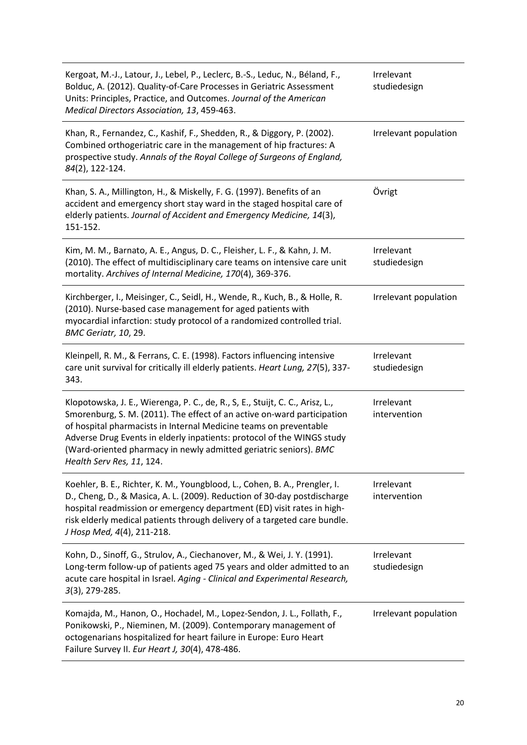| Kergoat, M.-J., Latour, J., Lebel, P., Leclerc, B.-S., Leduc, N., Béland, F.,<br>Bolduc, A. (2012). Quality-of-Care Processes in Geriatric Assessment<br>Units: Principles, Practice, and Outcomes. Journal of the American<br>Medical Directors Association, 13, 459-463.                                                                                                                                | Irrelevant<br>studiedesign |
|-----------------------------------------------------------------------------------------------------------------------------------------------------------------------------------------------------------------------------------------------------------------------------------------------------------------------------------------------------------------------------------------------------------|----------------------------|
| Khan, R., Fernandez, C., Kashif, F., Shedden, R., & Diggory, P. (2002).<br>Combined orthogeriatric care in the management of hip fractures: A<br>prospective study. Annals of the Royal College of Surgeons of England,<br>84(2), 122-124.                                                                                                                                                                | Irrelevant population      |
| Khan, S. A., Millington, H., & Miskelly, F. G. (1997). Benefits of an<br>accident and emergency short stay ward in the staged hospital care of<br>elderly patients. Journal of Accident and Emergency Medicine, 14(3),<br>151-152.                                                                                                                                                                        | Övrigt                     |
| Kim, M. M., Barnato, A. E., Angus, D. C., Fleisher, L. F., & Kahn, J. M.<br>(2010). The effect of multidisciplinary care teams on intensive care unit<br>mortality. Archives of Internal Medicine, 170(4), 369-376.                                                                                                                                                                                       | Irrelevant<br>studiedesign |
| Kirchberger, I., Meisinger, C., Seidl, H., Wende, R., Kuch, B., & Holle, R.<br>(2010). Nurse-based case management for aged patients with<br>myocardial infarction: study protocol of a randomized controlled trial.<br>BMC Geriatr, 10, 29.                                                                                                                                                              | Irrelevant population      |
| Kleinpell, R. M., & Ferrans, C. E. (1998). Factors influencing intensive<br>care unit survival for critically ill elderly patients. Heart Lung, 27(5), 337-<br>343.                                                                                                                                                                                                                                       | Irrelevant<br>studiedesign |
| Klopotowska, J. E., Wierenga, P. C., de, R., S, E., Stuijt, C. C., Arisz, L.,<br>Smorenburg, S. M. (2011). The effect of an active on-ward participation<br>of hospital pharmacists in Internal Medicine teams on preventable<br>Adverse Drug Events in elderly inpatients: protocol of the WINGS study<br>(Ward-oriented pharmacy in newly admitted geriatric seniors). BMC<br>Health Serv Res, 11, 124. | Irrelevant<br>intervention |
| Koehler, B. E., Richter, K. M., Youngblood, L., Cohen, B. A., Prengler, I.<br>D., Cheng, D., & Masica, A. L. (2009). Reduction of 30-day postdischarge<br>hospital readmission or emergency department (ED) visit rates in high-<br>risk elderly medical patients through delivery of a targeted care bundle.<br>J Hosp Med, 4(4), 211-218.                                                               | Irrelevant<br>intervention |
| Kohn, D., Sinoff, G., Strulov, A., Ciechanover, M., & Wei, J. Y. (1991).<br>Long-term follow-up of patients aged 75 years and older admitted to an<br>acute care hospital in Israel. Aging - Clinical and Experimental Research,<br>$3(3)$ , 279-285.                                                                                                                                                     | Irrelevant<br>studiedesign |
| Komajda, M., Hanon, O., Hochadel, M., Lopez-Sendon, J. L., Follath, F.,<br>Ponikowski, P., Nieminen, M. (2009). Contemporary management of<br>octogenarians hospitalized for heart failure in Europe: Euro Heart<br>Failure Survey II. Eur Heart J, 30(4), 478-486.                                                                                                                                       | Irrelevant population      |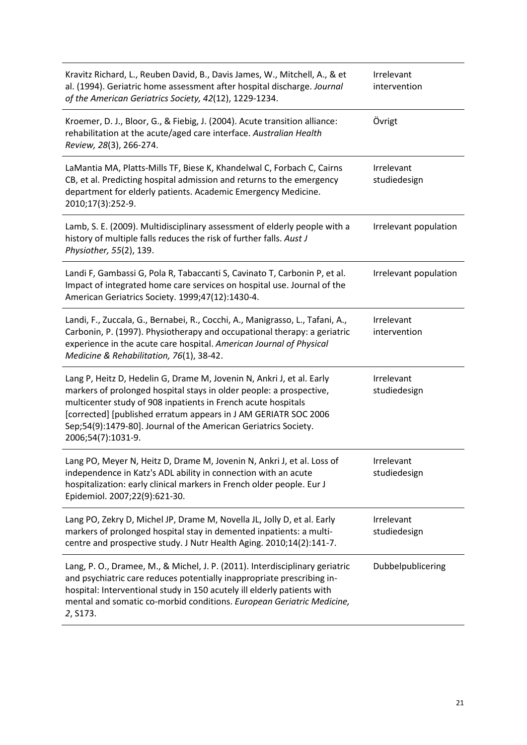| Kravitz Richard, L., Reuben David, B., Davis James, W., Mitchell, A., & et<br>al. (1994). Geriatric home assessment after hospital discharge. Journal<br>of the American Geriatrics Society, 42(12), 1229-1234.                                                                                                                                                           | Irrelevant<br>intervention |
|---------------------------------------------------------------------------------------------------------------------------------------------------------------------------------------------------------------------------------------------------------------------------------------------------------------------------------------------------------------------------|----------------------------|
| Kroemer, D. J., Bloor, G., & Fiebig, J. (2004). Acute transition alliance:<br>rehabilitation at the acute/aged care interface. Australian Health<br>Review, 28(3), 266-274.                                                                                                                                                                                               | Övrigt                     |
| LaMantia MA, Platts-Mills TF, Biese K, Khandelwal C, Forbach C, Cairns<br>CB, et al. Predicting hospital admission and returns to the emergency<br>department for elderly patients. Academic Emergency Medicine.<br>2010;17(3):252-9.                                                                                                                                     | Irrelevant<br>studiedesign |
| Lamb, S. E. (2009). Multidisciplinary assessment of elderly people with a<br>history of multiple falls reduces the risk of further falls. Aust J<br>Physiother, 55(2), 139.                                                                                                                                                                                               | Irrelevant population      |
| Landi F, Gambassi G, Pola R, Tabaccanti S, Cavinato T, Carbonin P, et al.<br>Impact of integrated home care services on hospital use. Journal of the<br>American Geriatrics Society. 1999;47(12):1430-4.                                                                                                                                                                  | Irrelevant population      |
| Landi, F., Zuccala, G., Bernabei, R., Cocchi, A., Manigrasso, L., Tafani, A.,<br>Carbonin, P. (1997). Physiotherapy and occupational therapy: a geriatric<br>experience in the acute care hospital. American Journal of Physical<br>Medicine & Rehabilitation, 76(1), 38-42.                                                                                              | Irrelevant<br>intervention |
| Lang P, Heitz D, Hedelin G, Drame M, Jovenin N, Ankri J, et al. Early<br>markers of prolonged hospital stays in older people: a prospective,<br>multicenter study of 908 inpatients in French acute hospitals<br>[corrected] [published erratum appears in J AM GERIATR SOC 2006<br>Sep;54(9):1479-80]. Journal of the American Geriatrics Society.<br>2006;54(7):1031-9. | Irrelevant<br>studiedesign |
| Lang PO, Meyer N, Heitz D, Drame M, Jovenin N, Ankri J, et al. Loss of<br>independence in Katz's ADL ability in connection with an acute<br>hospitalization: early clinical markers in French older people. Eur J<br>Epidemiol. 2007;22(9):621-30.                                                                                                                        | Irrelevant<br>studiedesign |
| Lang PO, Zekry D, Michel JP, Drame M, Novella JL, Jolly D, et al. Early<br>markers of prolonged hospital stay in demented inpatients: a multi-<br>centre and prospective study. J Nutr Health Aging. 2010;14(2):141-7.                                                                                                                                                    | Irrelevant<br>studiedesign |
| Lang, P. O., Dramee, M., & Michel, J. P. (2011). Interdisciplinary geriatric<br>and psychiatric care reduces potentially inappropriate prescribing in-<br>hospital: Interventional study in 150 acutely ill elderly patients with<br>mental and somatic co-morbid conditions. European Geriatric Medicine,<br>2, S173.                                                    | Dubbelpublicering          |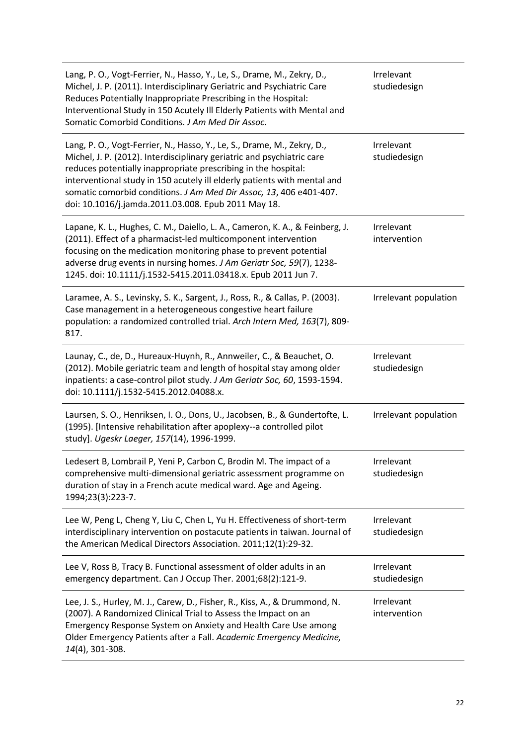| Lang, P. O., Vogt-Ferrier, N., Hasso, Y., Le, S., Drame, M., Zekry, D.,<br>Michel, J. P. (2011). Interdisciplinary Geriatric and Psychiatric Care<br>Reduces Potentially Inappropriate Prescribing in the Hospital:<br>Interventional Study in 150 Acutely Ill Elderly Patients with Mental and<br>Somatic Comorbid Conditions. J Am Med Dir Assoc.                                                                          | Irrelevant<br>studiedesign |
|------------------------------------------------------------------------------------------------------------------------------------------------------------------------------------------------------------------------------------------------------------------------------------------------------------------------------------------------------------------------------------------------------------------------------|----------------------------|
| Lang, P. O., Vogt-Ferrier, N., Hasso, Y., Le, S., Drame, M., Zekry, D.,<br>Michel, J. P. (2012). Interdisciplinary geriatric and psychiatric care<br>reduces potentially inappropriate prescribing in the hospital:<br>interventional study in 150 acutely ill elderly patients with mental and<br>somatic comorbid conditions. J Am Med Dir Assoc, 13, 406 e401-407.<br>doi: 10.1016/j.jamda.2011.03.008. Epub 2011 May 18. | Irrelevant<br>studiedesign |
| Lapane, K. L., Hughes, C. M., Daiello, L. A., Cameron, K. A., & Feinberg, J.<br>(2011). Effect of a pharmacist-led multicomponent intervention<br>focusing on the medication monitoring phase to prevent potential<br>adverse drug events in nursing homes. J Am Geriatr Soc, 59(7), 1238-<br>1245. doi: 10.1111/j.1532-5415.2011.03418.x. Epub 2011 Jun 7.                                                                  | Irrelevant<br>intervention |
| Laramee, A. S., Levinsky, S. K., Sargent, J., Ross, R., & Callas, P. (2003).<br>Case management in a heterogeneous congestive heart failure<br>population: a randomized controlled trial. Arch Intern Med, 163(7), 809-<br>817.                                                                                                                                                                                              | Irrelevant population      |
| Launay, C., de, D., Hureaux-Huynh, R., Annweiler, C., & Beauchet, O.<br>(2012). Mobile geriatric team and length of hospital stay among older<br>inpatients: a case-control pilot study. J Am Geriatr Soc, 60, 1593-1594.<br>doi: 10.1111/j.1532-5415.2012.04088.x.                                                                                                                                                          | Irrelevant<br>studiedesign |
| Laursen, S. O., Henriksen, I. O., Dons, U., Jacobsen, B., & Gundertofte, L.<br>(1995). [Intensive rehabilitation after apoplexy--a controlled pilot<br>study]. Ugeskr Laeger, 157(14), 1996-1999.                                                                                                                                                                                                                            | Irrelevant population      |
| Ledesert B, Lombrail P, Yeni P, Carbon C, Brodin M. The impact of a<br>comprehensive multi-dimensional geriatric assessment programme on<br>duration of stay in a French acute medical ward. Age and Ageing.<br>1994;23(3):223-7.                                                                                                                                                                                            | Irrelevant<br>studiedesign |
| Lee W, Peng L, Cheng Y, Liu C, Chen L, Yu H. Effectiveness of short-term<br>interdisciplinary intervention on postacute patients in taiwan. Journal of<br>the American Medical Directors Association. 2011;12(1):29-32.                                                                                                                                                                                                      | Irrelevant<br>studiedesign |
| Lee V, Ross B, Tracy B. Functional assessment of older adults in an<br>emergency department. Can J Occup Ther. 2001;68(2):121-9.                                                                                                                                                                                                                                                                                             | Irrelevant<br>studiedesign |
| Lee, J. S., Hurley, M. J., Carew, D., Fisher, R., Kiss, A., & Drummond, N.<br>(2007). A Randomized Clinical Trial to Assess the Impact on an<br>Emergency Response System on Anxiety and Health Care Use among<br>Older Emergency Patients after a Fall. Academic Emergency Medicine,<br>14(4), 301-308.                                                                                                                     | Irrelevant<br>intervention |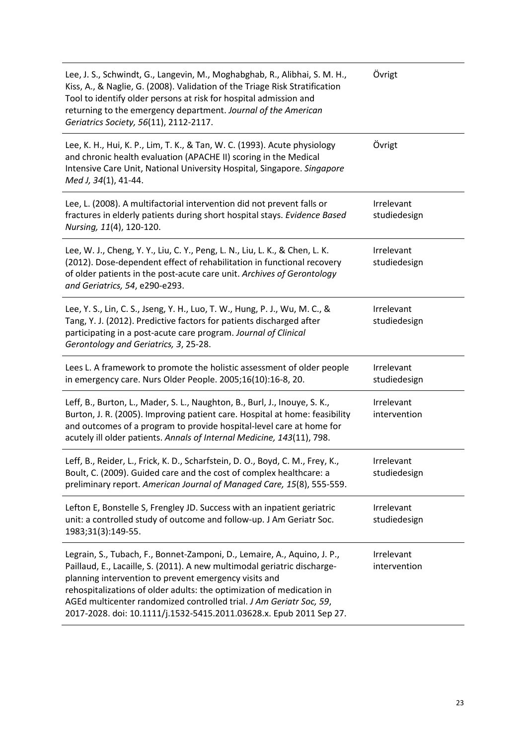| Lee, J. S., Schwindt, G., Langevin, M., Moghabghab, R., Alibhai, S. M. H.,<br>Kiss, A., & Naglie, G. (2008). Validation of the Triage Risk Stratification<br>Tool to identify older persons at risk for hospital admission and<br>returning to the emergency department. Journal of the American<br>Geriatrics Society, 56(11), 2112-2117.                                                                                           | Övrigt                     |
|--------------------------------------------------------------------------------------------------------------------------------------------------------------------------------------------------------------------------------------------------------------------------------------------------------------------------------------------------------------------------------------------------------------------------------------|----------------------------|
| Lee, K. H., Hui, K. P., Lim, T. K., & Tan, W. C. (1993). Acute physiology<br>and chronic health evaluation (APACHE II) scoring in the Medical<br>Intensive Care Unit, National University Hospital, Singapore. Singapore<br>Med J, 34(1), 41-44.                                                                                                                                                                                     | Övrigt                     |
| Lee, L. (2008). A multifactorial intervention did not prevent falls or<br>fractures in elderly patients during short hospital stays. Evidence Based<br>Nursing, 11(4), 120-120.                                                                                                                                                                                                                                                      | Irrelevant<br>studiedesign |
| Lee, W. J., Cheng, Y. Y., Liu, C. Y., Peng, L. N., Liu, L. K., & Chen, L. K.<br>(2012). Dose-dependent effect of rehabilitation in functional recovery<br>of older patients in the post-acute care unit. Archives of Gerontology<br>and Geriatrics, 54, e290-e293.                                                                                                                                                                   | Irrelevant<br>studiedesign |
| Lee, Y. S., Lin, C. S., Jseng, Y. H., Luo, T. W., Hung, P. J., Wu, M. C., &<br>Tang, Y. J. (2012). Predictive factors for patients discharged after<br>participating in a post-acute care program. Journal of Clinical<br>Gerontology and Geriatrics, 3, 25-28.                                                                                                                                                                      | Irrelevant<br>studiedesign |
| Lees L. A framework to promote the holistic assessment of older people<br>in emergency care. Nurs Older People. 2005;16(10):16-8, 20.                                                                                                                                                                                                                                                                                                | Irrelevant<br>studiedesign |
| Leff, B., Burton, L., Mader, S. L., Naughton, B., Burl, J., Inouye, S. K.,<br>Burton, J. R. (2005). Improving patient care. Hospital at home: feasibility<br>and outcomes of a program to provide hospital-level care at home for<br>acutely ill older patients. Annals of Internal Medicine, 143(11), 798.                                                                                                                          | Irrelevant<br>intervention |
| Leff, B., Reider, L., Frick, K. D., Scharfstein, D. O., Boyd, C. M., Frey, K.<br>Boult, C. (2009). Guided care and the cost of complex healthcare: a<br>preliminary report. American Journal of Managed Care, 15(8), 555-559.                                                                                                                                                                                                        | Irrelevant<br>studiedesign |
| Lefton E, Bonstelle S, Frengley JD. Success with an inpatient geriatric<br>unit: a controlled study of outcome and follow-up. J Am Geriatr Soc.<br>1983;31(3):149-55.                                                                                                                                                                                                                                                                | Irrelevant<br>studiedesign |
| Legrain, S., Tubach, F., Bonnet-Zamponi, D., Lemaire, A., Aquino, J. P.,<br>Paillaud, E., Lacaille, S. (2011). A new multimodal geriatric discharge-<br>planning intervention to prevent emergency visits and<br>rehospitalizations of older adults: the optimization of medication in<br>AGEd multicenter randomized controlled trial. J Am Geriatr Soc, 59,<br>2017-2028. doi: 10.1111/j.1532-5415.2011.03628.x. Epub 2011 Sep 27. | Irrelevant<br>intervention |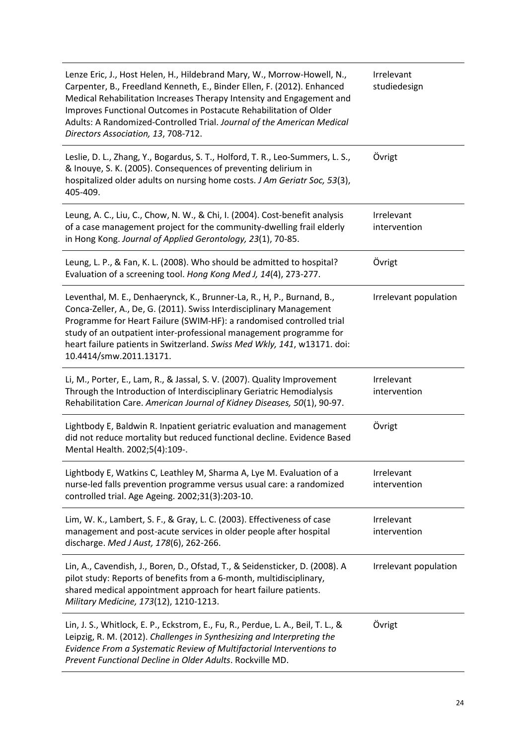| Lenze Eric, J., Host Helen, H., Hildebrand Mary, W., Morrow-Howell, N.,<br>Carpenter, B., Freedland Kenneth, E., Binder Ellen, F. (2012). Enhanced<br>Medical Rehabilitation Increases Therapy Intensity and Engagement and<br>Improves Functional Outcomes in Postacute Rehabilitation of Older<br>Adults: A Randomized-Controlled Trial. Journal of the American Medical<br>Directors Association, 13, 708-712. | Irrelevant<br>studiedesign |
|-------------------------------------------------------------------------------------------------------------------------------------------------------------------------------------------------------------------------------------------------------------------------------------------------------------------------------------------------------------------------------------------------------------------|----------------------------|
| Leslie, D. L., Zhang, Y., Bogardus, S. T., Holford, T. R., Leo-Summers, L. S.,<br>& Inouye, S. K. (2005). Consequences of preventing delirium in<br>hospitalized older adults on nursing home costs. J Am Geriatr Soc, 53(3),<br>405-409.                                                                                                                                                                         | Övrigt                     |
| Leung, A. C., Liu, C., Chow, N. W., & Chi, I. (2004). Cost-benefit analysis<br>of a case management project for the community-dwelling frail elderly<br>in Hong Kong. Journal of Applied Gerontology, 23(1), 70-85.                                                                                                                                                                                               | Irrelevant<br>intervention |
| Leung, L. P., & Fan, K. L. (2008). Who should be admitted to hospital?<br>Evaluation of a screening tool. Hong Kong Med J, 14(4), 273-277.                                                                                                                                                                                                                                                                        | Övrigt                     |
| Leventhal, M. E., Denhaerynck, K., Brunner-La, R., H, P., Burnand, B.,<br>Conca-Zeller, A., De, G. (2011). Swiss Interdisciplinary Management<br>Programme for Heart Failure (SWIM-HF): a randomised controlled trial<br>study of an outpatient inter-professional management programme for<br>heart failure patients in Switzerland. Swiss Med Wkly, 141, w13171. doi:<br>10.4414/smw.2011.13171.                | Irrelevant population      |
| Li, M., Porter, E., Lam, R., & Jassal, S. V. (2007). Quality Improvement<br>Through the Introduction of Interdisciplinary Geriatric Hemodialysis<br>Rehabilitation Care. American Journal of Kidney Diseases, 50(1), 90-97.                                                                                                                                                                                       | Irrelevant<br>intervention |
| Lightbody E, Baldwin R. Inpatient geriatric evaluation and management<br>did not reduce mortality but reduced functional decline. Evidence Based<br>Mental Health. 2002;5(4):109-.                                                                                                                                                                                                                                | Övrigt                     |
| Lightbody E, Watkins C, Leathley M, Sharma A, Lye M. Evaluation of a<br>nurse-led falls prevention programme versus usual care: a randomized<br>controlled trial. Age Ageing. 2002;31(3):203-10.                                                                                                                                                                                                                  | Irrelevant<br>intervention |
| Lim, W. K., Lambert, S. F., & Gray, L. C. (2003). Effectiveness of case<br>management and post-acute services in older people after hospital<br>discharge. Med J Aust, 178(6), 262-266.                                                                                                                                                                                                                           | Irrelevant<br>intervention |
| Lin, A., Cavendish, J., Boren, D., Ofstad, T., & Seidensticker, D. (2008). A<br>pilot study: Reports of benefits from a 6-month, multidisciplinary,<br>shared medical appointment approach for heart failure patients.<br>Military Medicine, 173(12), 1210-1213.                                                                                                                                                  | Irrelevant population      |
| Lin, J. S., Whitlock, E. P., Eckstrom, E., Fu, R., Perdue, L. A., Beil, T. L., &<br>Leipzig, R. M. (2012). Challenges in Synthesizing and Interpreting the<br>Evidence From a Systematic Review of Multifactorial Interventions to<br>Prevent Functional Decline in Older Adults. Rockville MD.                                                                                                                   | Övrigt                     |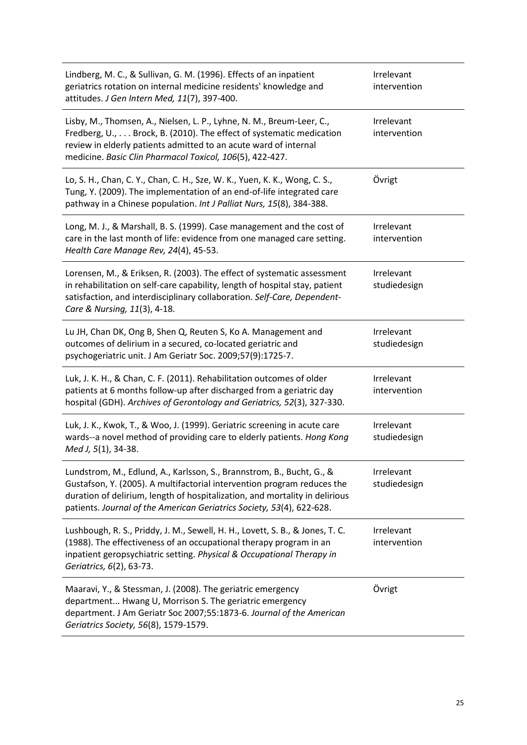| Lindberg, M. C., & Sullivan, G. M. (1996). Effects of an inpatient<br>geriatrics rotation on internal medicine residents' knowledge and<br>attitudes. J Gen Intern Med, 11(7), 397-400.                                                                                                                  | Irrelevant<br>intervention |
|----------------------------------------------------------------------------------------------------------------------------------------------------------------------------------------------------------------------------------------------------------------------------------------------------------|----------------------------|
| Lisby, M., Thomsen, A., Nielsen, L. P., Lyhne, N. M., Breum-Leer, C.,<br>Fredberg, U., Brock, B. (2010). The effect of systematic medication<br>review in elderly patients admitted to an acute ward of internal<br>medicine. Basic Clin Pharmacol Toxicol, 106(5), 422-427.                             | Irrelevant<br>intervention |
| Lo, S. H., Chan, C. Y., Chan, C. H., Sze, W. K., Yuen, K. K., Wong, C. S.,<br>Tung, Y. (2009). The implementation of an end-of-life integrated care<br>pathway in a Chinese population. Int J Palliat Nurs, 15(8), 384-388.                                                                              | Övrigt                     |
| Long, M. J., & Marshall, B. S. (1999). Case management and the cost of<br>care in the last month of life: evidence from one managed care setting.<br>Health Care Manage Rev, 24(4), 45-53.                                                                                                               | Irrelevant<br>intervention |
| Lorensen, M., & Eriksen, R. (2003). The effect of systematic assessment<br>in rehabilitation on self-care capability, length of hospital stay, patient<br>satisfaction, and interdisciplinary collaboration. Self-Care, Dependent-<br>Care & Nursing, 11(3), 4-18.                                       | Irrelevant<br>studiedesign |
| Lu JH, Chan DK, Ong B, Shen Q, Reuten S, Ko A. Management and<br>outcomes of delirium in a secured, co-located geriatric and<br>psychogeriatric unit. J Am Geriatr Soc. 2009;57(9):1725-7.                                                                                                               | Irrelevant<br>studiedesign |
| Luk, J. K. H., & Chan, C. F. (2011). Rehabilitation outcomes of older<br>patients at 6 months follow-up after discharged from a geriatric day<br>hospital (GDH). Archives of Gerontology and Geriatrics, 52(3), 327-330.                                                                                 | Irrelevant<br>intervention |
| Luk, J. K., Kwok, T., & Woo, J. (1999). Geriatric screening in acute care<br>wards--a novel method of providing care to elderly patients. Hong Kong<br>Med J, 5(1), 34-38.                                                                                                                               | Irrelevant<br>studiedesign |
| Lundstrom, M., Edlund, A., Karlsson, S., Brannstrom, B., Bucht, G., &<br>Gustafson, Y. (2005). A multifactorial intervention program reduces the<br>duration of delirium, length of hospitalization, and mortality in delirious<br>patients. Journal of the American Geriatrics Society, 53(4), 622-628. | Irrelevant<br>studiedesign |
| Lushbough, R. S., Priddy, J. M., Sewell, H. H., Lovett, S. B., & Jones, T. C.<br>(1988). The effectiveness of an occupational therapy program in an<br>inpatient geropsychiatric setting. Physical & Occupational Therapy in<br>Geriatrics, 6(2), 63-73.                                                 | Irrelevant<br>intervention |
| Maaravi, Y., & Stessman, J. (2008). The geriatric emergency<br>department Hwang U, Morrison S. The geriatric emergency<br>department. J Am Geriatr Soc 2007;55:1873-6. Journal of the American<br>Geriatrics Society, 56(8), 1579-1579.                                                                  | Övrigt                     |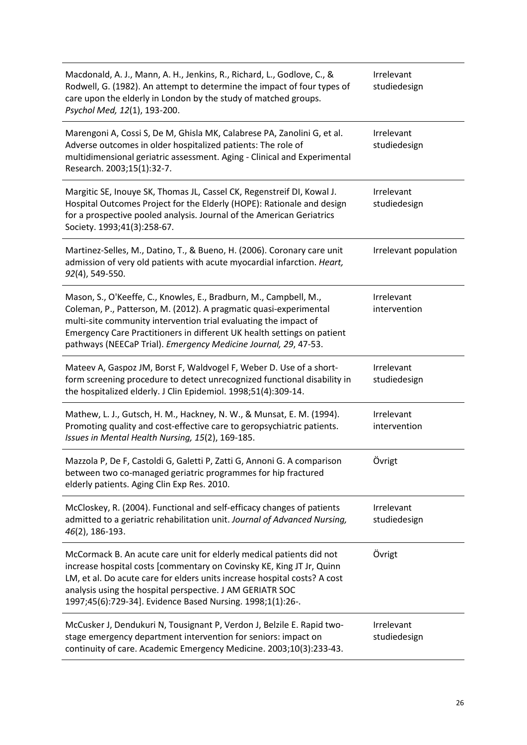| Macdonald, A. J., Mann, A. H., Jenkins, R., Richard, L., Godlove, C., &<br>Rodwell, G. (1982). An attempt to determine the impact of four types of<br>care upon the elderly in London by the study of matched groups.<br>Psychol Med, 12(1), 193-200.                                                                                                    | Irrelevant<br>studiedesign |
|----------------------------------------------------------------------------------------------------------------------------------------------------------------------------------------------------------------------------------------------------------------------------------------------------------------------------------------------------------|----------------------------|
| Marengoni A, Cossi S, De M, Ghisla MK, Calabrese PA, Zanolini G, et al.<br>Adverse outcomes in older hospitalized patients: The role of<br>multidimensional geriatric assessment. Aging - Clinical and Experimental<br>Research. 2003;15(1):32-7.                                                                                                        | Irrelevant<br>studiedesign |
| Margitic SE, Inouye SK, Thomas JL, Cassel CK, Regenstreif DI, Kowal J.<br>Hospital Outcomes Project for the Elderly (HOPE): Rationale and design<br>for a prospective pooled analysis. Journal of the American Geriatrics<br>Society. 1993;41(3):258-67.                                                                                                 | Irrelevant<br>studiedesign |
| Martinez-Selles, M., Datino, T., & Bueno, H. (2006). Coronary care unit<br>admission of very old patients with acute myocardial infarction. Heart,<br>92(4), 549-550.                                                                                                                                                                                    | Irrelevant population      |
| Mason, S., O'Keeffe, C., Knowles, E., Bradburn, M., Campbell, M.,<br>Coleman, P., Patterson, M. (2012). A pragmatic quasi-experimental<br>multi-site community intervention trial evaluating the impact of<br>Emergency Care Practitioners in different UK health settings on patient<br>pathways (NEECaP Trial). Emergency Medicine Journal, 29, 47-53. | Irrelevant<br>intervention |
| Mateev A, Gaspoz JM, Borst F, Waldvogel F, Weber D. Use of a short-<br>form screening procedure to detect unrecognized functional disability in<br>the hospitalized elderly. J Clin Epidemiol. 1998;51(4):309-14.                                                                                                                                        | Irrelevant<br>studiedesign |
| Mathew, L. J., Gutsch, H. M., Hackney, N. W., & Munsat, E. M. (1994).<br>Promoting quality and cost-effective care to geropsychiatric patients.<br>Issues in Mental Health Nursing, 15(2), 169-185.                                                                                                                                                      | Irrelevant<br>intervention |
| Mazzola P, De F, Castoldi G, Galetti P, Zatti G, Annoni G. A comparison<br>between two co-managed geriatric programmes for hip fractured<br>elderly patients. Aging Clin Exp Res. 2010.                                                                                                                                                                  | Övrigt                     |
| McCloskey, R. (2004). Functional and self-efficacy changes of patients<br>admitted to a geriatric rehabilitation unit. Journal of Advanced Nursing,<br>46(2), 186-193.                                                                                                                                                                                   | Irrelevant<br>studiedesign |
| McCormack B. An acute care unit for elderly medical patients did not<br>increase hospital costs [commentary on Covinsky KE, King JT Jr, Quinn<br>LM, et al. Do acute care for elders units increase hospital costs? A cost<br>analysis using the hospital perspective. J AM GERIATR SOC<br>1997;45(6):729-34]. Evidence Based Nursing. 1998;1(1):26-.    | Övrigt                     |
| McCusker J, Dendukuri N, Tousignant P, Verdon J, Belzile E. Rapid two-<br>stage emergency department intervention for seniors: impact on<br>continuity of care. Academic Emergency Medicine. 2003;10(3):233-43.                                                                                                                                          | Irrelevant<br>studiedesign |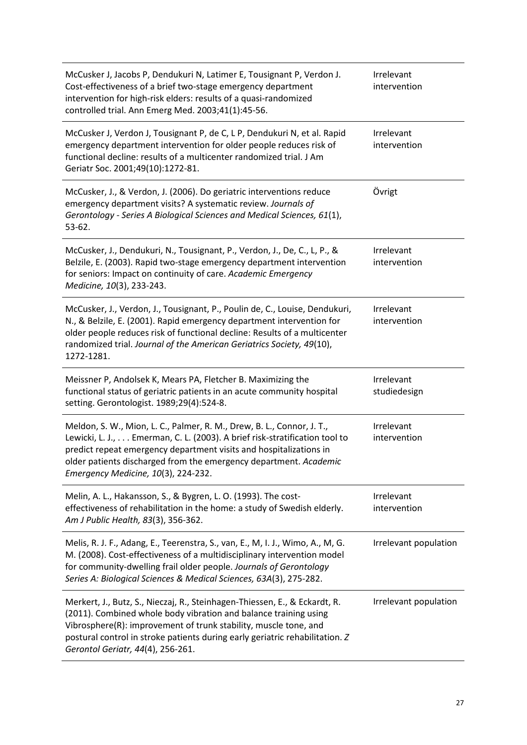| McCusker J, Jacobs P, Dendukuri N, Latimer E, Tousignant P, Verdon J.<br>Cost-effectiveness of a brief two-stage emergency department<br>intervention for high-risk elders: results of a quasi-randomized<br>controlled trial. Ann Emerg Med. 2003;41(1):45-56.                                                                         | Irrelevant<br>intervention |
|-----------------------------------------------------------------------------------------------------------------------------------------------------------------------------------------------------------------------------------------------------------------------------------------------------------------------------------------|----------------------------|
| McCusker J, Verdon J, Tousignant P, de C, L P, Dendukuri N, et al. Rapid<br>emergency department intervention for older people reduces risk of<br>functional decline: results of a multicenter randomized trial. J Am<br>Geriatr Soc. 2001;49(10):1272-81.                                                                              | Irrelevant<br>intervention |
| McCusker, J., & Verdon, J. (2006). Do geriatric interventions reduce<br>emergency department visits? A systematic review. Journals of<br>Gerontology - Series A Biological Sciences and Medical Sciences, 61(1),<br>53-62.                                                                                                              | Övrigt                     |
| McCusker, J., Dendukuri, N., Tousignant, P., Verdon, J., De, C., L, P., &<br>Belzile, E. (2003). Rapid two-stage emergency department intervention<br>for seniors: Impact on continuity of care. Academic Emergency<br>Medicine, 10(3), 233-243.                                                                                        | Irrelevant<br>intervention |
| McCusker, J., Verdon, J., Tousignant, P., Poulin de, C., Louise, Dendukuri,<br>N., & Belzile, E. (2001). Rapid emergency department intervention for<br>older people reduces risk of functional decline: Results of a multicenter<br>randomized trial. Journal of the American Geriatrics Society, 49(10),<br>1272-1281.                | Irrelevant<br>intervention |
| Meissner P, Andolsek K, Mears PA, Fletcher B. Maximizing the<br>functional status of geriatric patients in an acute community hospital<br>setting. Gerontologist. 1989;29(4):524-8.                                                                                                                                                     | Irrelevant<br>studiedesign |
| Meldon, S. W., Mion, L. C., Palmer, R. M., Drew, B. L., Connor, J. T.,<br>Lewicki, L. J., Emerman, C. L. (2003). A brief risk-stratification tool to<br>predict repeat emergency department visits and hospitalizations in<br>older patients discharged from the emergency department. Academic<br>Emergency Medicine, 10(3), 224-232.  | Irrelevant<br>intervention |
| Melin, A. L., Hakansson, S., & Bygren, L. O. (1993). The cost-<br>effectiveness of rehabilitation in the home: a study of Swedish elderly.<br>Am J Public Health, 83(3), 356-362.                                                                                                                                                       | Irrelevant<br>intervention |
| Melis, R. J. F., Adang, E., Teerenstra, S., van, E., M, I. J., Wimo, A., M, G.<br>M. (2008). Cost-effectiveness of a multidisciplinary intervention model<br>for community-dwelling frail older people. Journals of Gerontology<br>Series A: Biological Sciences & Medical Sciences, 63A(3), 275-282.                                   | Irrelevant population      |
| Merkert, J., Butz, S., Nieczaj, R., Steinhagen-Thiessen, E., & Eckardt, R.<br>(2011). Combined whole body vibration and balance training using<br>Vibrosphere(R): improvement of trunk stability, muscle tone, and<br>postural control in stroke patients during early geriatric rehabilitation. Z<br>Gerontol Geriatr, 44(4), 256-261. | Irrelevant population      |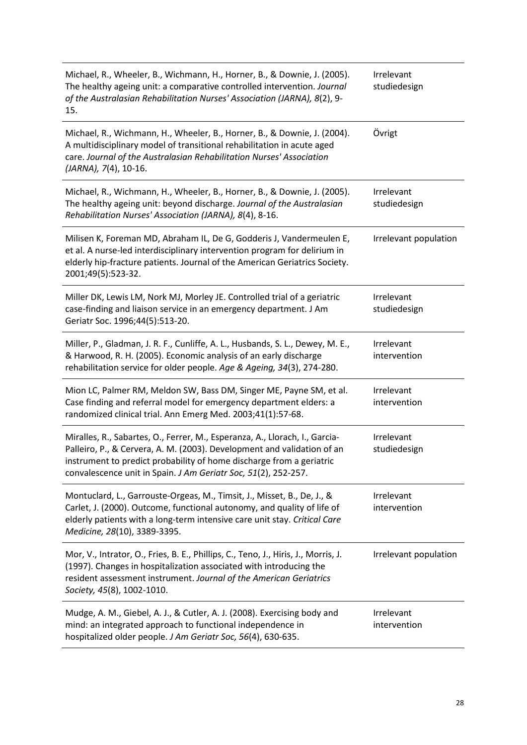| Michael, R., Wheeler, B., Wichmann, H., Horner, B., & Downie, J. (2005).<br>The healthy ageing unit: a comparative controlled intervention. Journal<br>of the Australasian Rehabilitation Nurses' Association (JARNA), 8(2), 9-<br>15.                                                           | Irrelevant<br>studiedesign |
|--------------------------------------------------------------------------------------------------------------------------------------------------------------------------------------------------------------------------------------------------------------------------------------------------|----------------------------|
| Michael, R., Wichmann, H., Wheeler, B., Horner, B., & Downie, J. (2004).<br>A multidisciplinary model of transitional rehabilitation in acute aged<br>care. Journal of the Australasian Rehabilitation Nurses' Association<br>(JARNA), 7(4), 10-16.                                              | Övrigt                     |
| Michael, R., Wichmann, H., Wheeler, B., Horner, B., & Downie, J. (2005).<br>The healthy ageing unit: beyond discharge. Journal of the Australasian<br>Rehabilitation Nurses' Association (JARNA), 8(4), 8-16.                                                                                    | Irrelevant<br>studiedesign |
| Milisen K, Foreman MD, Abraham IL, De G, Godderis J, Vandermeulen E,<br>et al. A nurse-led interdisciplinary intervention program for delirium in<br>elderly hip-fracture patients. Journal of the American Geriatrics Society.<br>2001;49(5):523-32.                                            | Irrelevant population      |
| Miller DK, Lewis LM, Nork MJ, Morley JE. Controlled trial of a geriatric<br>case-finding and liaison service in an emergency department. J Am<br>Geriatr Soc. 1996;44(5):513-20.                                                                                                                 | Irrelevant<br>studiedesign |
| Miller, P., Gladman, J. R. F., Cunliffe, A. L., Husbands, S. L., Dewey, M. E.,<br>& Harwood, R. H. (2005). Economic analysis of an early discharge<br>rehabilitation service for older people. Age & Ageing, 34(3), 274-280.                                                                     | Irrelevant<br>intervention |
| Mion LC, Palmer RM, Meldon SW, Bass DM, Singer ME, Payne SM, et al.<br>Case finding and referral model for emergency department elders: a<br>randomized clinical trial. Ann Emerg Med. 2003;41(1):57-68.                                                                                         | Irrelevant<br>intervention |
| Miralles, R., Sabartes, O., Ferrer, M., Esperanza, A., Llorach, I., Garcia-<br>Palleiro, P., & Cervera, A. M. (2003). Development and validation of an<br>instrument to predict probability of home discharge from a geriatric<br>convalescence unit in Spain. J Am Geriatr Soc, 51(2), 252-257. | Irrelevant<br>studiedesign |
| Montuclard, L., Garrouste-Orgeas, M., Timsit, J., Misset, B., De, J., &<br>Carlet, J. (2000). Outcome, functional autonomy, and quality of life of<br>elderly patients with a long-term intensive care unit stay. Critical Care<br>Medicine, 28(10), 3389-3395.                                  | Irrelevant<br>intervention |
| Mor, V., Intrator, O., Fries, B. E., Phillips, C., Teno, J., Hiris, J., Morris, J.<br>(1997). Changes in hospitalization associated with introducing the<br>resident assessment instrument. Journal of the American Geriatrics<br>Society, 45(8), 1002-1010.                                     | Irrelevant population      |
| Mudge, A. M., Giebel, A. J., & Cutler, A. J. (2008). Exercising body and<br>mind: an integrated approach to functional independence in<br>hospitalized older people. J Am Geriatr Soc, 56(4), 630-635.                                                                                           | Irrelevant<br>intervention |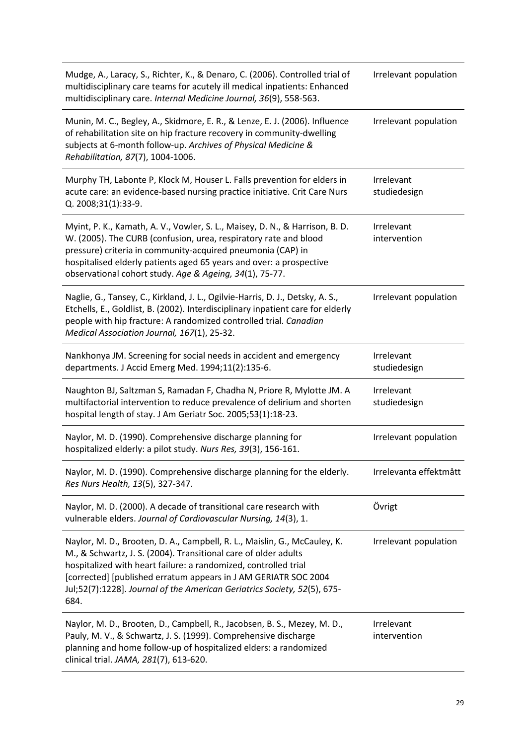| Mudge, A., Laracy, S., Richter, K., & Denaro, C. (2006). Controlled trial of<br>multidisciplinary care teams for acutely ill medical inpatients: Enhanced<br>multidisciplinary care. Internal Medicine Journal, 36(9), 558-563.                                                                                                                                        | Irrelevant population      |
|------------------------------------------------------------------------------------------------------------------------------------------------------------------------------------------------------------------------------------------------------------------------------------------------------------------------------------------------------------------------|----------------------------|
| Munin, M. C., Begley, A., Skidmore, E. R., & Lenze, E. J. (2006). Influence<br>of rehabilitation site on hip fracture recovery in community-dwelling<br>subjects at 6-month follow-up. Archives of Physical Medicine &<br>Rehabilitation, 87(7), 1004-1006.                                                                                                            | Irrelevant population      |
| Murphy TH, Labonte P, Klock M, Houser L. Falls prevention for elders in<br>acute care: an evidence-based nursing practice initiative. Crit Care Nurs<br>Q. 2008;31(1):33-9.                                                                                                                                                                                            | Irrelevant<br>studiedesign |
| Myint, P. K., Kamath, A. V., Vowler, S. L., Maisey, D. N., & Harrison, B. D.<br>W. (2005). The CURB (confusion, urea, respiratory rate and blood<br>pressure) criteria in community-acquired pneumonia (CAP) in<br>hospitalised elderly patients aged 65 years and over: a prospective<br>observational cohort study. Age & Ageing, 34(1), 75-77.                      | Irrelevant<br>intervention |
| Naglie, G., Tansey, C., Kirkland, J. L., Ogilvie-Harris, D. J., Detsky, A. S.,<br>Etchells, E., Goldlist, B. (2002). Interdisciplinary inpatient care for elderly<br>people with hip fracture: A randomized controlled trial. Canadian<br>Medical Association Journal, 167(1), 25-32.                                                                                  | Irrelevant population      |
| Nankhonya JM. Screening for social needs in accident and emergency<br>departments. J Accid Emerg Med. 1994;11(2):135-6.                                                                                                                                                                                                                                                | Irrelevant<br>studiedesign |
| Naughton BJ, Saltzman S, Ramadan F, Chadha N, Priore R, Mylotte JM. A<br>multifactorial intervention to reduce prevalence of delirium and shorten<br>hospital length of stay. J Am Geriatr Soc. 2005;53(1):18-23.                                                                                                                                                      | Irrelevant<br>studiedesign |
| Naylor, M. D. (1990). Comprehensive discharge planning for<br>hospitalized elderly: a pilot study. Nurs Res, 39(3), 156-161.                                                                                                                                                                                                                                           | Irrelevant population      |
| Naylor, M. D. (1990). Comprehensive discharge planning for the elderly.<br>Res Nurs Health, 13(5), 327-347.                                                                                                                                                                                                                                                            | Irrelevanta effektmått     |
| Naylor, M. D. (2000). A decade of transitional care research with<br>vulnerable elders. Journal of Cardiovascular Nursing, 14(3), 1.                                                                                                                                                                                                                                   | Övrigt                     |
| Naylor, M. D., Brooten, D. A., Campbell, R. L., Maislin, G., McCauley, K.<br>M., & Schwartz, J. S. (2004). Transitional care of older adults<br>hospitalized with heart failure: a randomized, controlled trial<br>[corrected] [published erratum appears in J AM GERIATR SOC 2004<br>Jul;52(7):1228]. Journal of the American Geriatrics Society, 52(5), 675-<br>684. | Irrelevant population      |
| Naylor, M. D., Brooten, D., Campbell, R., Jacobsen, B. S., Mezey, M. D.,<br>Pauly, M. V., & Schwartz, J. S. (1999). Comprehensive discharge<br>planning and home follow-up of hospitalized elders: a randomized<br>clinical trial. JAMA, 281(7), 613-620.                                                                                                              | Irrelevant<br>intervention |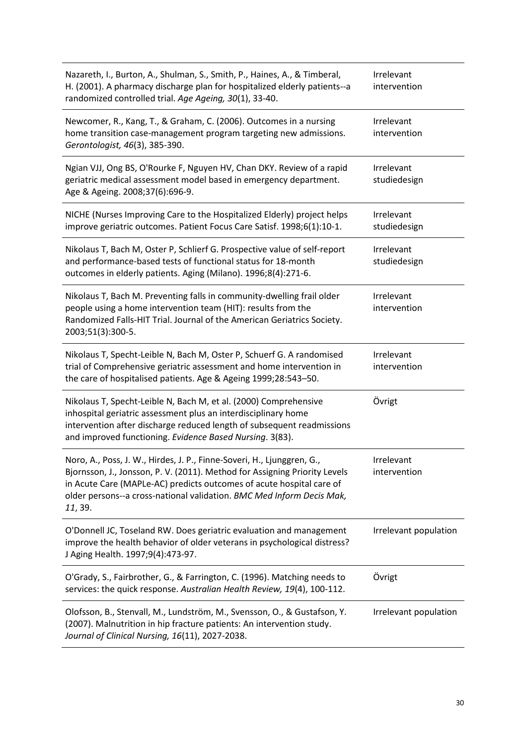| Nazareth, I., Burton, A., Shulman, S., Smith, P., Haines, A., & Timberal,<br>H. (2001). A pharmacy discharge plan for hospitalized elderly patients--a<br>randomized controlled trial. Age Ageing, 30(1), 33-40.                                                                                                 | Irrelevant<br>intervention |
|------------------------------------------------------------------------------------------------------------------------------------------------------------------------------------------------------------------------------------------------------------------------------------------------------------------|----------------------------|
| Newcomer, R., Kang, T., & Graham, C. (2006). Outcomes in a nursing<br>home transition case-management program targeting new admissions.<br>Gerontologist, 46(3), 385-390.                                                                                                                                        | Irrelevant<br>intervention |
| Ngian VJJ, Ong BS, O'Rourke F, Nguyen HV, Chan DKY. Review of a rapid<br>geriatric medical assessment model based in emergency department.<br>Age & Ageing. 2008;37(6):696-9.                                                                                                                                    | Irrelevant<br>studiedesign |
| NICHE (Nurses Improving Care to the Hospitalized Elderly) project helps<br>improve geriatric outcomes. Patient Focus Care Satisf. 1998;6(1):10-1.                                                                                                                                                                | Irrelevant<br>studiedesign |
| Nikolaus T, Bach M, Oster P, Schlierf G. Prospective value of self-report<br>and performance-based tests of functional status for 18-month<br>outcomes in elderly patients. Aging (Milano). 1996;8(4):271-6.                                                                                                     | Irrelevant<br>studiedesign |
| Nikolaus T, Bach M. Preventing falls in community-dwelling frail older<br>people using a home intervention team (HIT): results from the<br>Randomized Falls-HIT Trial. Journal of the American Geriatrics Society.<br>2003;51(3):300-5.                                                                          | Irrelevant<br>intervention |
| Nikolaus T, Specht-Leible N, Bach M, Oster P, Schuerf G. A randomised<br>trial of Comprehensive geriatric assessment and home intervention in<br>the care of hospitalised patients. Age & Ageing 1999;28:543-50.                                                                                                 | Irrelevant<br>intervention |
| Nikolaus T, Specht-Leible N, Bach M, et al. (2000) Comprehensive<br>inhospital geriatric assessment plus an interdisciplinary home<br>intervention after discharge reduced length of subsequent readmissions<br>and improved functioning. Evidence Based Nursing. 3(83).                                         | Övrigt                     |
| Noro, A., Poss, J. W., Hirdes, J. P., Finne-Soveri, H., Ljunggren, G.,<br>Bjornsson, J., Jonsson, P. V. (2011). Method for Assigning Priority Levels<br>in Acute Care (MAPLe-AC) predicts outcomes of acute hospital care of<br>older persons--a cross-national validation. BMC Med Inform Decis Mak,<br>11, 39. | Irrelevant<br>intervention |
| O'Donnell JC, Toseland RW. Does geriatric evaluation and management<br>improve the health behavior of older veterans in psychological distress?<br>J Aging Health. 1997;9(4):473-97.                                                                                                                             | Irrelevant population      |
| O'Grady, S., Fairbrother, G., & Farrington, C. (1996). Matching needs to<br>services: the quick response. Australian Health Review, 19(4), 100-112.                                                                                                                                                              | Övrigt                     |
| Olofsson, B., Stenvall, M., Lundström, M., Svensson, O., & Gustafson, Y.<br>(2007). Malnutrition in hip fracture patients: An intervention study.<br>Journal of Clinical Nursing, 16(11), 2027-2038.                                                                                                             | Irrelevant population      |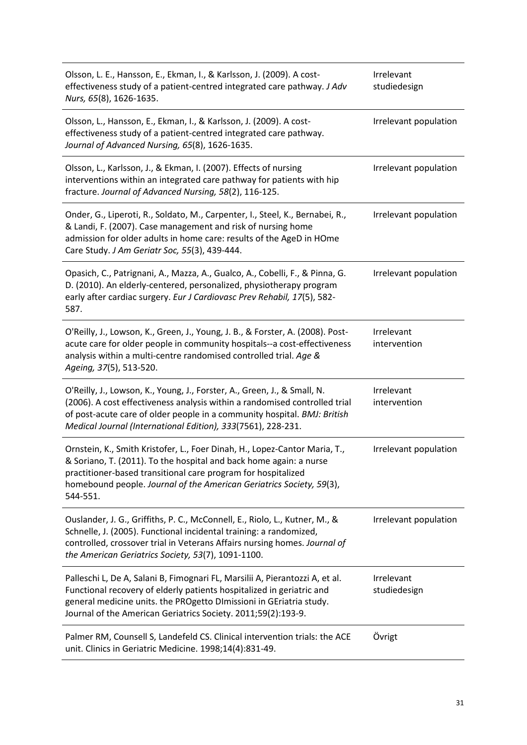| Olsson, L. E., Hansson, E., Ekman, I., & Karlsson, J. (2009). A cost-<br>effectiveness study of a patient-centred integrated care pathway. J Adv<br>Nurs, 65(8), 1626-1635.                                                                                                                           | Irrelevant<br>studiedesign |
|-------------------------------------------------------------------------------------------------------------------------------------------------------------------------------------------------------------------------------------------------------------------------------------------------------|----------------------------|
| Olsson, L., Hansson, E., Ekman, I., & Karlsson, J. (2009). A cost-<br>effectiveness study of a patient-centred integrated care pathway.<br>Journal of Advanced Nursing, 65(8), 1626-1635.                                                                                                             | Irrelevant population      |
| Olsson, L., Karlsson, J., & Ekman, I. (2007). Effects of nursing<br>interventions within an integrated care pathway for patients with hip<br>fracture. Journal of Advanced Nursing, 58(2), 116-125.                                                                                                   | Irrelevant population      |
| Onder, G., Liperoti, R., Soldato, M., Carpenter, I., Steel, K., Bernabei, R.,<br>& Landi, F. (2007). Case management and risk of nursing home<br>admission for older adults in home care: results of the AgeD in HOme<br>Care Study. J Am Geriatr Soc, 55(3), 439-444.                                | Irrelevant population      |
| Opasich, C., Patrignani, A., Mazza, A., Gualco, A., Cobelli, F., & Pinna, G.<br>D. (2010). An elderly-centered, personalized, physiotherapy program<br>early after cardiac surgery. Eur J Cardiovasc Prev Rehabil, 17(5), 582-<br>587.                                                                | Irrelevant population      |
| O'Reilly, J., Lowson, K., Green, J., Young, J. B., & Forster, A. (2008). Post-<br>acute care for older people in community hospitals--a cost-effectiveness<br>analysis within a multi-centre randomised controlled trial. Age &<br>Ageing, 37(5), 513-520.                                            | Irrelevant<br>intervention |
| O'Reilly, J., Lowson, K., Young, J., Forster, A., Green, J., & Small, N.<br>(2006). A cost effectiveness analysis within a randomised controlled trial<br>of post-acute care of older people in a community hospital. BMJ: British<br>Medical Journal (International Edition), 333(7561), 228-231.    | Irrelevant<br>intervention |
| Ornstein, K., Smith Kristofer, L., Foer Dinah, H., Lopez-Cantor Maria, T.,<br>& Soriano, T. (2011). To the hospital and back home again: a nurse<br>practitioner-based transitional care program for hospitalized<br>homebound people. Journal of the American Geriatrics Society, 59(3),<br>544-551. | Irrelevant population      |
| Ouslander, J. G., Griffiths, P. C., McConnell, E., Riolo, L., Kutner, M., &<br>Schnelle, J. (2005). Functional incidental training: a randomized,<br>controlled, crossover trial in Veterans Affairs nursing homes. Journal of<br>the American Geriatrics Society, 53(7), 1091-1100.                  | Irrelevant population      |
| Palleschi L, De A, Salani B, Fimognari FL, Marsilii A, Pierantozzi A, et al.<br>Functional recovery of elderly patients hospitalized in geriatric and<br>general medicine units. the PROgetto DImissioni in GEriatria study.<br>Journal of the American Geriatrics Society. 2011;59(2):193-9.         | Irrelevant<br>studiedesign |
| Palmer RM, Counsell S, Landefeld CS. Clinical intervention trials: the ACE<br>unit. Clinics in Geriatric Medicine. 1998;14(4):831-49.                                                                                                                                                                 | Övrigt                     |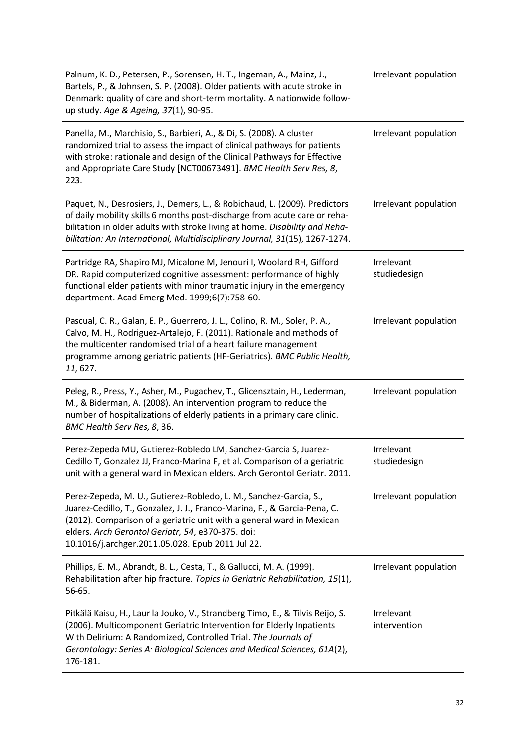| Palnum, K. D., Petersen, P., Sorensen, H. T., Ingeman, A., Mainz, J.,<br>Bartels, P., & Johnsen, S. P. (2008). Older patients with acute stroke in<br>Denmark: quality of care and short-term mortality. A nationwide follow-<br>up study. Age & Ageing, 37(1), 90-95.                                                           | Irrelevant population      |
|----------------------------------------------------------------------------------------------------------------------------------------------------------------------------------------------------------------------------------------------------------------------------------------------------------------------------------|----------------------------|
| Panella, M., Marchisio, S., Barbieri, A., & Di, S. (2008). A cluster<br>randomized trial to assess the impact of clinical pathways for patients<br>with stroke: rationale and design of the Clinical Pathways for Effective<br>and Appropriate Care Study [NCT00673491]. BMC Health Serv Res, 8,<br>223.                         | Irrelevant population      |
| Paquet, N., Desrosiers, J., Demers, L., & Robichaud, L. (2009). Predictors<br>of daily mobility skills 6 months post-discharge from acute care or reha-<br>bilitation in older adults with stroke living at home. Disability and Reha-<br>bilitation: An International, Multidisciplinary Journal, 31(15), 1267-1274.            | Irrelevant population      |
| Partridge RA, Shapiro MJ, Micalone M, Jenouri I, Woolard RH, Gifford<br>DR. Rapid computerized cognitive assessment: performance of highly<br>functional elder patients with minor traumatic injury in the emergency<br>department. Acad Emerg Med. 1999;6(7):758-60.                                                            | Irrelevant<br>studiedesign |
| Pascual, C. R., Galan, E. P., Guerrero, J. L., Colino, R. M., Soler, P. A.,<br>Calvo, M. H., Rodriguez-Artalejo, F. (2011). Rationale and methods of<br>the multicenter randomised trial of a heart failure management<br>programme among geriatric patients (HF-Geriatrics). BMC Public Health,<br>11, 627.                     | Irrelevant population      |
| Peleg, R., Press, Y., Asher, M., Pugachev, T., Glicensztain, H., Lederman,<br>M., & Biderman, A. (2008). An intervention program to reduce the<br>number of hospitalizations of elderly patients in a primary care clinic.<br>BMC Health Serv Res, 8, 36.                                                                        | Irrelevant population      |
| Perez-Zepeda MU, Gutierez-Robledo LM, Sanchez-Garcia S, Juarez-<br>Cedillo T, Gonzalez JJ, Franco-Marina F, et al. Comparison of a geriatric<br>unit with a general ward in Mexican elders. Arch Gerontol Geriatr. 2011.                                                                                                         | Irrelevant<br>studiedesign |
| Perez-Zepeda, M. U., Gutierez-Robledo, L. M., Sanchez-Garcia, S.,<br>Juarez-Cedillo, T., Gonzalez, J. J., Franco-Marina, F., & Garcia-Pena, C.<br>(2012). Comparison of a geriatric unit with a general ward in Mexican<br>elders. Arch Gerontol Geriatr, 54, e370-375. doi:<br>10.1016/j.archger.2011.05.028. Epub 2011 Jul 22. | Irrelevant population      |
| Phillips, E. M., Abrandt, B. L., Cesta, T., & Gallucci, M. A. (1999).<br>Rehabilitation after hip fracture. Topics in Geriatric Rehabilitation, 15(1),<br>56-65.                                                                                                                                                                 | Irrelevant population      |
| Pitkälä Kaisu, H., Laurila Jouko, V., Strandberg Timo, E., & Tilvis Reijo, S.<br>(2006). Multicomponent Geriatric Intervention for Elderly Inpatients<br>With Delirium: A Randomized, Controlled Trial. The Journals of<br>Gerontology: Series A: Biological Sciences and Medical Sciences, 61A(2),<br>176-181.                  | Irrelevant<br>intervention |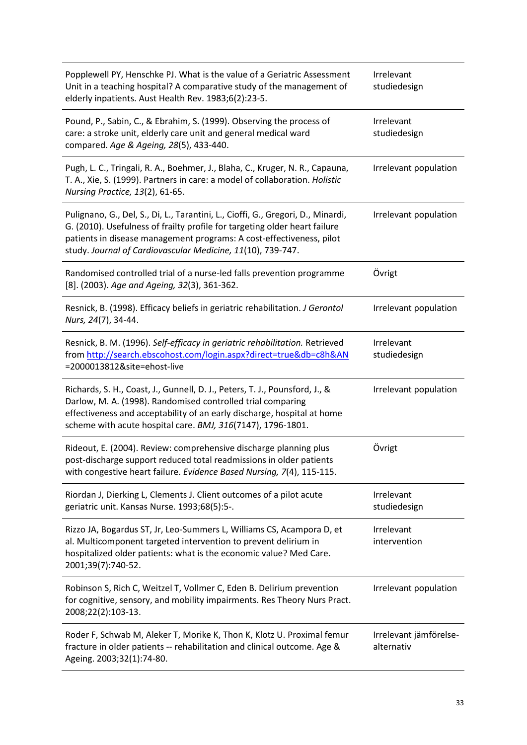| Popplewell PY, Henschke PJ. What is the value of a Geriatric Assessment<br>Unit in a teaching hospital? A comparative study of the management of<br>elderly inpatients. Aust Health Rev. 1983;6(2):23-5.                                                                                              | Irrelevant<br>studiedesign           |
|-------------------------------------------------------------------------------------------------------------------------------------------------------------------------------------------------------------------------------------------------------------------------------------------------------|--------------------------------------|
| Pound, P., Sabin, C., & Ebrahim, S. (1999). Observing the process of<br>care: a stroke unit, elderly care unit and general medical ward<br>compared. Age & Ageing, 28(5), 433-440.                                                                                                                    | Irrelevant<br>studiedesign           |
| Pugh, L. C., Tringali, R. A., Boehmer, J., Blaha, C., Kruger, N. R., Capauna,<br>T. A., Xie, S. (1999). Partners in care: a model of collaboration. Holistic<br>Nursing Practice, 13(2), 61-65.                                                                                                       | Irrelevant population                |
| Pulignano, G., Del, S., Di, L., Tarantini, L., Cioffi, G., Gregori, D., Minardi,<br>G. (2010). Usefulness of frailty profile for targeting older heart failure<br>patients in disease management programs: A cost-effectiveness, pilot<br>study. Journal of Cardiovascular Medicine, 11(10), 739-747. | Irrelevant population                |
| Randomised controlled trial of a nurse-led falls prevention programme<br>[8]. (2003). Age and Ageing, 32(3), 361-362.                                                                                                                                                                                 | Övrigt                               |
| Resnick, B. (1998). Efficacy beliefs in geriatric rehabilitation. J Gerontol<br>Nurs, 24(7), 34-44.                                                                                                                                                                                                   | Irrelevant population                |
| Resnick, B. M. (1996). Self-efficacy in geriatric rehabilitation. Retrieved<br>from http://search.ebscohost.com/login.aspx?direct=true&db=c8h&AN<br>=2000013812&site=ehost-live                                                                                                                       | Irrelevant<br>studiedesign           |
| Richards, S. H., Coast, J., Gunnell, D. J., Peters, T. J., Pounsford, J., &<br>Darlow, M. A. (1998). Randomised controlled trial comparing<br>effectiveness and acceptability of an early discharge, hospital at home<br>scheme with acute hospital care. BMJ, 316(7147), 1796-1801.                  | Irrelevant population                |
| Rideout, E. (2004). Review: comprehensive discharge planning plus<br>post-discharge support reduced total readmissions in older patients<br>with congestive heart failure. Evidence Based Nursing, 7(4), 115-115.                                                                                     | Övrigt                               |
| Riordan J, Dierking L, Clements J. Client outcomes of a pilot acute<br>geriatric unit. Kansas Nurse. 1993;68(5):5-.                                                                                                                                                                                   | Irrelevant<br>studiedesign           |
| Rizzo JA, Bogardus ST, Jr, Leo-Summers L, Williams CS, Acampora D, et<br>al. Multicomponent targeted intervention to prevent delirium in<br>hospitalized older patients: what is the economic value? Med Care.<br>2001;39(7):740-52.                                                                  | Irrelevant<br>intervention           |
| Robinson S, Rich C, Weitzel T, Vollmer C, Eden B. Delirium prevention<br>for cognitive, sensory, and mobility impairments. Res Theory Nurs Pract.<br>2008;22(2):103-13.                                                                                                                               | Irrelevant population                |
| Roder F, Schwab M, Aleker T, Morike K, Thon K, Klotz U. Proximal femur<br>fracture in older patients -- rehabilitation and clinical outcome. Age &<br>Ageing. 2003;32(1):74-80.                                                                                                                       | Irrelevant jämförelse-<br>alternativ |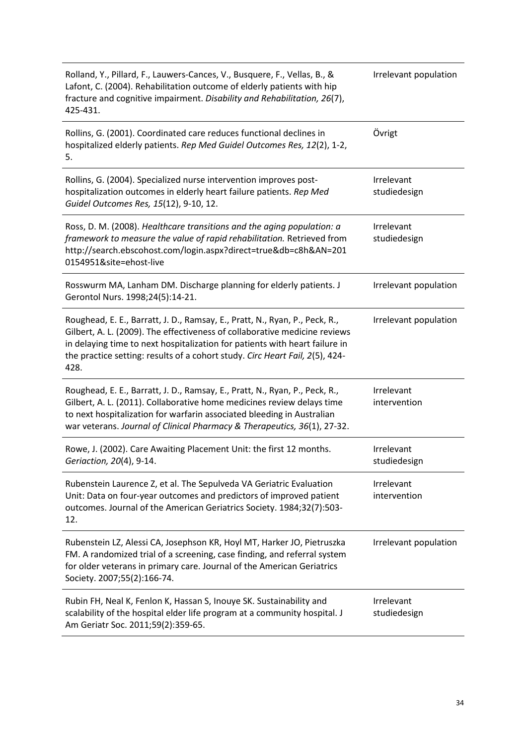| Rolland, Y., Pillard, F., Lauwers-Cances, V., Busquere, F., Vellas, B., &<br>Lafont, C. (2004). Rehabilitation outcome of elderly patients with hip<br>fracture and cognitive impairment. Disability and Rehabilitation, 26(7),<br>425-431.                                                                                      | Irrelevant population      |
|----------------------------------------------------------------------------------------------------------------------------------------------------------------------------------------------------------------------------------------------------------------------------------------------------------------------------------|----------------------------|
| Rollins, G. (2001). Coordinated care reduces functional declines in<br>hospitalized elderly patients. Rep Med Guidel Outcomes Res, 12(2), 1-2,<br>5.                                                                                                                                                                             | Övrigt                     |
| Rollins, G. (2004). Specialized nurse intervention improves post-<br>hospitalization outcomes in elderly heart failure patients. Rep Med<br>Guidel Outcomes Res, 15(12), 9-10, 12.                                                                                                                                               | Irrelevant<br>studiedesign |
| Ross, D. M. (2008). Healthcare transitions and the aging population: a<br>framework to measure the value of rapid rehabilitation. Retrieved from<br>http://search.ebscohost.com/login.aspx?direct=true&db=c8h&AN=201<br>0154951&site=ehost-live                                                                                  | Irrelevant<br>studiedesign |
| Rosswurm MA, Lanham DM. Discharge planning for elderly patients. J<br>Gerontol Nurs. 1998;24(5):14-21.                                                                                                                                                                                                                           | Irrelevant population      |
| Roughead, E. E., Barratt, J. D., Ramsay, E., Pratt, N., Ryan, P., Peck, R.,<br>Gilbert, A. L. (2009). The effectiveness of collaborative medicine reviews<br>in delaying time to next hospitalization for patients with heart failure in<br>the practice setting: results of a cohort study. Circ Heart Fail, 2(5), 424-<br>428. | Irrelevant population      |
| Roughead, E. E., Barratt, J. D., Ramsay, E., Pratt, N., Ryan, P., Peck, R.,<br>Gilbert, A. L. (2011). Collaborative home medicines review delays time<br>to next hospitalization for warfarin associated bleeding in Australian<br>war veterans. Journal of Clinical Pharmacy & Therapeutics, 36(1), 27-32.                      | Irrelevant<br>intervention |
| Rowe, J. (2002). Care Awaiting Placement Unit: the first 12 months.<br>Geriaction, 20(4), 9-14.                                                                                                                                                                                                                                  | Irrelevant<br>studiedesign |
| Rubenstein Laurence Z, et al. The Sepulveda VA Geriatric Evaluation<br>Unit: Data on four-year outcomes and predictors of improved patient<br>outcomes. Journal of the American Geriatrics Society. 1984;32(7):503-<br>12.                                                                                                       | Irrelevant<br>intervention |
| Rubenstein LZ, Alessi CA, Josephson KR, Hoyl MT, Harker JO, Pietruszka<br>FM. A randomized trial of a screening, case finding, and referral system<br>for older veterans in primary care. Journal of the American Geriatrics<br>Society. 2007;55(2):166-74.                                                                      | Irrelevant population      |
| Rubin FH, Neal K, Fenlon K, Hassan S, Inouye SK. Sustainability and<br>scalability of the hospital elder life program at a community hospital. J<br>Am Geriatr Soc. 2011;59(2):359-65.                                                                                                                                           | Irrelevant<br>studiedesign |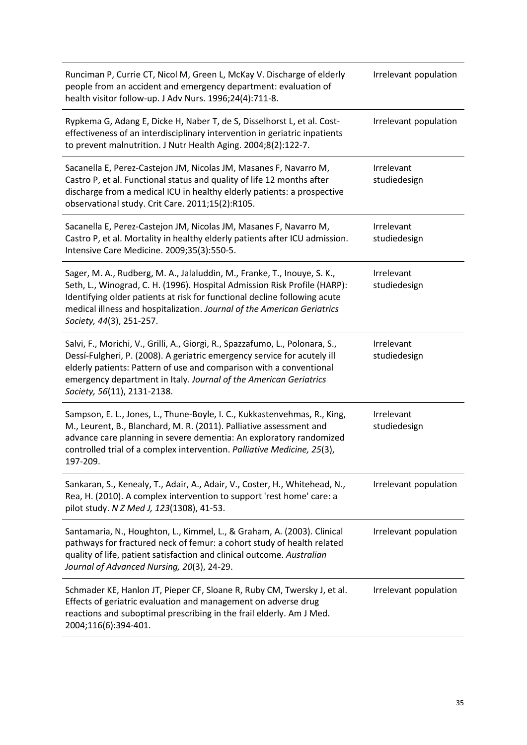| Runciman P, Currie CT, Nicol M, Green L, McKay V. Discharge of elderly<br>people from an accident and emergency department: evaluation of<br>health visitor follow-up. J Adv Nurs. 1996;24(4):711-8.                                                                                                                                      | Irrelevant population      |
|-------------------------------------------------------------------------------------------------------------------------------------------------------------------------------------------------------------------------------------------------------------------------------------------------------------------------------------------|----------------------------|
| Rypkema G, Adang E, Dicke H, Naber T, de S, Disselhorst L, et al. Cost-<br>effectiveness of an interdisciplinary intervention in geriatric inpatients<br>to prevent malnutrition. J Nutr Health Aging. 2004;8(2):122-7.                                                                                                                   | Irrelevant population      |
| Sacanella E, Perez-Castejon JM, Nicolas JM, Masanes F, Navarro M,<br>Castro P, et al. Functional status and quality of life 12 months after<br>discharge from a medical ICU in healthy elderly patients: a prospective<br>observational study. Crit Care. 2011;15(2):R105.                                                                | Irrelevant<br>studiedesign |
| Sacanella E, Perez-Castejon JM, Nicolas JM, Masanes F, Navarro M,<br>Castro P, et al. Mortality in healthy elderly patients after ICU admission.<br>Intensive Care Medicine. 2009;35(3):550-5.                                                                                                                                            | Irrelevant<br>studiedesign |
| Sager, M. A., Rudberg, M. A., Jalaluddin, M., Franke, T., Inouye, S. K.,<br>Seth, L., Winograd, C. H. (1996). Hospital Admission Risk Profile (HARP):<br>Identifying older patients at risk for functional decline following acute<br>medical illness and hospitalization. Journal of the American Geriatrics<br>Society, 44(3), 251-257. | Irrelevant<br>studiedesign |
| Salvi, F., Morichi, V., Grilli, A., Giorgi, R., Spazzafumo, L., Polonara, S.,<br>Dessí-Fulgheri, P. (2008). A geriatric emergency service for acutely ill<br>elderly patients: Pattern of use and comparison with a conventional<br>emergency department in Italy. Journal of the American Geriatrics<br>Society, 56(11), 2131-2138.      | Irrelevant<br>studiedesign |
| Sampson, E. L., Jones, L., Thune-Boyle, I. C., Kukkastenvehmas, R., King,<br>M., Leurent, B., Blanchard, M. R. (2011). Palliative assessment and<br>advance care planning in severe dementia: An exploratory randomized<br>controlled trial of a complex intervention. Palliative Medicine, 25(3),<br>197-209.                            | Irrelevant<br>studiedesign |
| Sankaran, S., Kenealy, T., Adair, A., Adair, V., Coster, H., Whitehead, N.,<br>Rea, H. (2010). A complex intervention to support 'rest home' care: a<br>pilot study. N Z Med J, 123(1308), 41-53.                                                                                                                                         | Irrelevant population      |
| Santamaria, N., Houghton, L., Kimmel, L., & Graham, A. (2003). Clinical<br>pathways for fractured neck of femur: a cohort study of health related<br>quality of life, patient satisfaction and clinical outcome. Australian<br>Journal of Advanced Nursing, 20(3), 24-29.                                                                 | Irrelevant population      |
| Schmader KE, Hanlon JT, Pieper CF, Sloane R, Ruby CM, Twersky J, et al.<br>Effects of geriatric evaluation and management on adverse drug<br>reactions and suboptimal prescribing in the frail elderly. Am J Med.<br>2004;116(6):394-401.                                                                                                 | Irrelevant population      |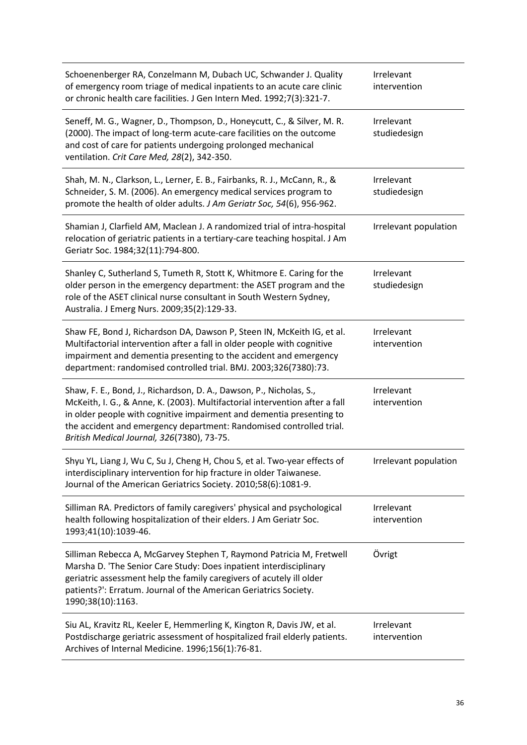| Schoenenberger RA, Conzelmann M, Dubach UC, Schwander J. Quality<br>of emergency room triage of medical inpatients to an acute care clinic<br>or chronic health care facilities. J Gen Intern Med. 1992;7(3):321-7.                                                                                                                             | Irrelevant<br>intervention |
|-------------------------------------------------------------------------------------------------------------------------------------------------------------------------------------------------------------------------------------------------------------------------------------------------------------------------------------------------|----------------------------|
| Seneff, M. G., Wagner, D., Thompson, D., Honeycutt, C., & Silver, M. R.<br>(2000). The impact of long-term acute-care facilities on the outcome<br>and cost of care for patients undergoing prolonged mechanical<br>ventilation. Crit Care Med, 28(2), 342-350.                                                                                 | Irrelevant<br>studiedesign |
| Shah, M. N., Clarkson, L., Lerner, E. B., Fairbanks, R. J., McCann, R., &<br>Schneider, S. M. (2006). An emergency medical services program to<br>promote the health of older adults. J Am Geriatr Soc, 54(6), 956-962.                                                                                                                         | Irrelevant<br>studiedesign |
| Shamian J, Clarfield AM, Maclean J. A randomized trial of intra-hospital<br>relocation of geriatric patients in a tertiary-care teaching hospital. J Am<br>Geriatr Soc. 1984;32(11):794-800.                                                                                                                                                    | Irrelevant population      |
| Shanley C, Sutherland S, Tumeth R, Stott K, Whitmore E. Caring for the<br>older person in the emergency department: the ASET program and the<br>role of the ASET clinical nurse consultant in South Western Sydney,<br>Australia. J Emerg Nurs. 2009;35(2):129-33.                                                                              | Irrelevant<br>studiedesign |
| Shaw FE, Bond J, Richardson DA, Dawson P, Steen IN, McKeith IG, et al.<br>Multifactorial intervention after a fall in older people with cognitive<br>impairment and dementia presenting to the accident and emergency<br>department: randomised controlled trial. BMJ. 2003;326(7380):73.                                                       | Irrelevant<br>intervention |
| Shaw, F. E., Bond, J., Richardson, D. A., Dawson, P., Nicholas, S.,<br>McKeith, I. G., & Anne, K. (2003). Multifactorial intervention after a fall<br>in older people with cognitive impairment and dementia presenting to<br>the accident and emergency department: Randomised controlled trial.<br>British Medical Journal, 326(7380), 73-75. | Irrelevant<br>intervention |
| Shyu YL, Liang J, Wu C, Su J, Cheng H, Chou S, et al. Two-year effects of<br>interdisciplinary intervention for hip fracture in older Taiwanese.<br>Journal of the American Geriatrics Society. 2010;58(6):1081-9.                                                                                                                              | Irrelevant population      |
| Silliman RA. Predictors of family caregivers' physical and psychological<br>health following hospitalization of their elders. J Am Geriatr Soc.<br>1993;41(10):1039-46.                                                                                                                                                                         | Irrelevant<br>intervention |
| Silliman Rebecca A, McGarvey Stephen T, Raymond Patricia M, Fretwell<br>Marsha D. 'The Senior Care Study: Does inpatient interdisciplinary<br>geriatric assessment help the family caregivers of acutely ill older<br>patients?': Erratum. Journal of the American Geriatrics Society.<br>1990;38(10):1163.                                     | Övrigt                     |
| Siu AL, Kravitz RL, Keeler E, Hemmerling K, Kington R, Davis JW, et al.<br>Postdischarge geriatric assessment of hospitalized frail elderly patients.<br>Archives of Internal Medicine. 1996;156(1):76-81.                                                                                                                                      | Irrelevant<br>intervention |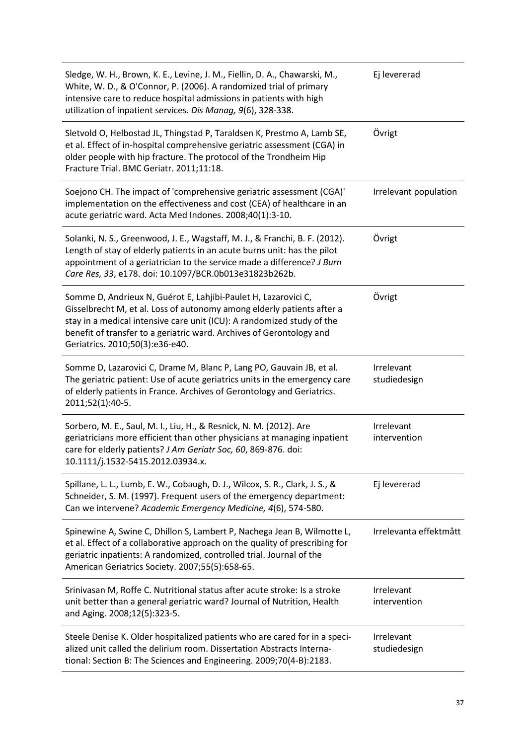| Sledge, W. H., Brown, K. E., Levine, J. M., Fiellin, D. A., Chawarski, M.,<br>White, W. D., & O'Connor, P. (2006). A randomized trial of primary<br>intensive care to reduce hospital admissions in patients with high<br>utilization of inpatient services. Dis Manag, 9(6), 328-338.                                        | Ej levererad               |
|-------------------------------------------------------------------------------------------------------------------------------------------------------------------------------------------------------------------------------------------------------------------------------------------------------------------------------|----------------------------|
| Sletvold O, Helbostad JL, Thingstad P, Taraldsen K, Prestmo A, Lamb SE,<br>et al. Effect of in-hospital comprehensive geriatric assessment (CGA) in<br>older people with hip fracture. The protocol of the Trondheim Hip<br>Fracture Trial. BMC Geriatr. 2011;11:18.                                                          | Övrigt                     |
| Soejono CH. The impact of 'comprehensive geriatric assessment (CGA)'<br>implementation on the effectiveness and cost (CEA) of healthcare in an<br>acute geriatric ward. Acta Med Indones. 2008;40(1):3-10.                                                                                                                    | Irrelevant population      |
| Solanki, N. S., Greenwood, J. E., Wagstaff, M. J., & Franchi, B. F. (2012).<br>Length of stay of elderly patients in an acute burns unit: has the pilot<br>appointment of a geriatrician to the service made a difference? J Burn<br>Care Res, 33, e178. doi: 10.1097/BCR.0b013e31823b262b.                                   | Övrigt                     |
| Somme D, Andrieux N, Guérot E, Lahjibi-Paulet H, Lazarovici C,<br>Gisselbrecht M, et al. Loss of autonomy among elderly patients after a<br>stay in a medical intensive care unit (ICU): A randomized study of the<br>benefit of transfer to a geriatric ward. Archives of Gerontology and<br>Geriatrics. 2010;50(3):e36-e40. | Övrigt                     |
| Somme D, Lazarovici C, Drame M, Blanc P, Lang PO, Gauvain JB, et al.<br>The geriatric patient: Use of acute geriatrics units in the emergency care<br>of elderly patients in France. Archives of Gerontology and Geriatrics.<br>2011;52(1):40-5.                                                                              | Irrelevant<br>studiedesign |
| Sorbero, M. E., Saul, M. I., Liu, H., & Resnick, N. M. (2012). Are<br>geriatricians more efficient than other physicians at managing inpatient<br>care for elderly patients? J Am Geriatr Soc, 60, 869-876. doi:<br>10.1111/j.1532-5415.2012.03934.x.                                                                         | Irrelevant<br>intervention |
| Spillane, L. L., Lumb, E. W., Cobaugh, D. J., Wilcox, S. R., Clark, J. S., &<br>Schneider, S. M. (1997). Frequent users of the emergency department:<br>Can we intervene? Academic Emergency Medicine, 4(6), 574-580.                                                                                                         | Ej levererad               |
| Spinewine A, Swine C, Dhillon S, Lambert P, Nachega Jean B, Wilmotte L,<br>et al. Effect of a collaborative approach on the quality of prescribing for<br>geriatric inpatients: A randomized, controlled trial. Journal of the<br>American Geriatrics Society. 2007;55(5):658-65.                                             | Irrelevanta effektmått     |
| Srinivasan M, Roffe C. Nutritional status after acute stroke: Is a stroke<br>unit better than a general geriatric ward? Journal of Nutrition, Health<br>and Aging. 2008;12(5):323-5.                                                                                                                                          | Irrelevant<br>intervention |
| Steele Denise K. Older hospitalized patients who are cared for in a speci-<br>alized unit called the delirium room. Dissertation Abstracts Interna-<br>tional: Section B: The Sciences and Engineering. 2009;70(4-B):2183.                                                                                                    | Irrelevant<br>studiedesign |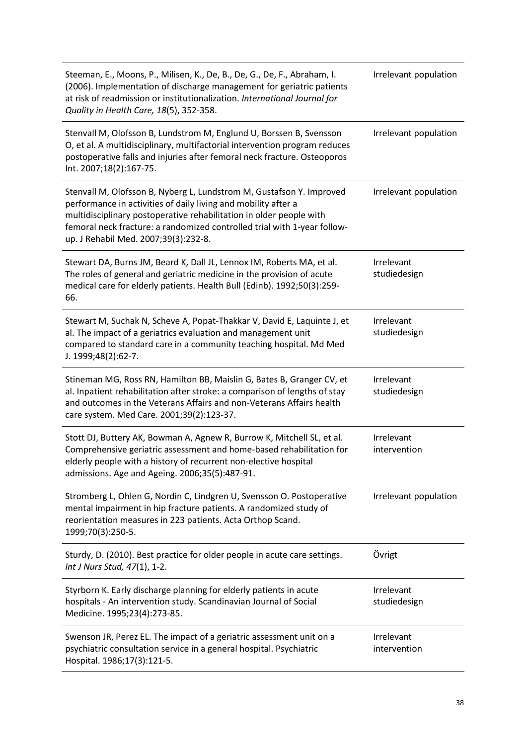| Steeman, E., Moons, P., Milisen, K., De, B., De, G., De, F., Abraham, I.<br>(2006). Implementation of discharge management for geriatric patients<br>at risk of readmission or institutionalization. International Journal for<br>Quality in Health Care, 18(5), 352-358.                                                         | Irrelevant population      |
|-----------------------------------------------------------------------------------------------------------------------------------------------------------------------------------------------------------------------------------------------------------------------------------------------------------------------------------|----------------------------|
| Stenvall M, Olofsson B, Lundstrom M, Englund U, Borssen B, Svensson<br>O, et al. A multidisciplinary, multifactorial intervention program reduces<br>postoperative falls and injuries after femoral neck fracture. Osteoporos<br>Int. 2007;18(2):167-75.                                                                          | Irrelevant population      |
| Stenvall M, Olofsson B, Nyberg L, Lundstrom M, Gustafson Y. Improved<br>performance in activities of daily living and mobility after a<br>multidisciplinary postoperative rehabilitation in older people with<br>femoral neck fracture: a randomized controlled trial with 1-year follow-<br>up. J Rehabil Med. 2007;39(3):232-8. | Irrelevant population      |
| Stewart DA, Burns JM, Beard K, Dall JL, Lennox IM, Roberts MA, et al.<br>The roles of general and geriatric medicine in the provision of acute<br>medical care for elderly patients. Health Bull (Edinb). 1992;50(3):259-<br>66.                                                                                                  | Irrelevant<br>studiedesign |
| Stewart M, Suchak N, Scheve A, Popat-Thakkar V, David E, Laquinte J, et<br>al. The impact of a geriatrics evaluation and management unit<br>compared to standard care in a community teaching hospital. Md Med<br>J. 1999;48(2):62-7.                                                                                             | Irrelevant<br>studiedesign |
| Stineman MG, Ross RN, Hamilton BB, Maislin G, Bates B, Granger CV, et<br>al. Inpatient rehabilitation after stroke: a comparison of lengths of stay<br>and outcomes in the Veterans Affairs and non-Veterans Affairs health<br>care system. Med Care. 2001;39(2):123-37.                                                          | Irrelevant<br>studiedesign |
| Stott DJ, Buttery AK, Bowman A, Agnew R, Burrow K, Mitchell SL, et al.<br>Comprehensive geriatric assessment and home-based rehabilitation for<br>elderly people with a history of recurrent non-elective hospital<br>admissions. Age and Ageing. 2006;35(5):487-91.                                                              | Irrelevant<br>intervention |
| Stromberg L, Ohlen G, Nordin C, Lindgren U, Svensson O. Postoperative<br>mental impairment in hip fracture patients. A randomized study of<br>reorientation measures in 223 patients. Acta Orthop Scand.<br>1999;70(3):250-5.                                                                                                     | Irrelevant population      |
| Sturdy, D. (2010). Best practice for older people in acute care settings.<br>Int J Nurs Stud, 47(1), 1-2.                                                                                                                                                                                                                         | Övrigt                     |
| Styrborn K. Early discharge planning for elderly patients in acute<br>hospitals - An intervention study. Scandinavian Journal of Social<br>Medicine. 1995;23(4):273-85.                                                                                                                                                           | Irrelevant<br>studiedesign |
| Swenson JR, Perez EL. The impact of a geriatric assessment unit on a<br>psychiatric consultation service in a general hospital. Psychiatric<br>Hospital. 1986;17(3):121-5.                                                                                                                                                        | Irrelevant<br>intervention |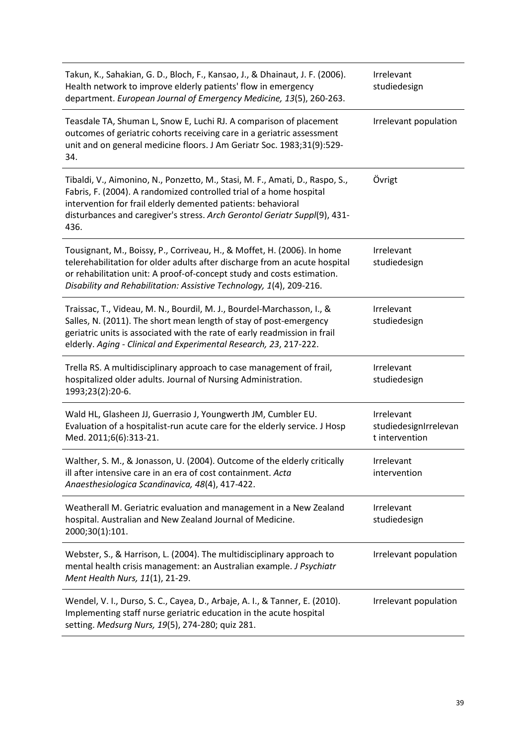| Takun, K., Sahakian, G. D., Bloch, F., Kansao, J., & Dhainaut, J. F. (2006).<br>Health network to improve elderly patients' flow in emergency<br>department. European Journal of Emergency Medicine, 13(5), 260-263.                                                                                     | Irrelevant<br>studiedesign                            |
|----------------------------------------------------------------------------------------------------------------------------------------------------------------------------------------------------------------------------------------------------------------------------------------------------------|-------------------------------------------------------|
| Teasdale TA, Shuman L, Snow E, Luchi RJ. A comparison of placement<br>outcomes of geriatric cohorts receiving care in a geriatric assessment<br>unit and on general medicine floors. J Am Geriatr Soc. 1983;31(9):529-<br>34.                                                                            | Irrelevant population                                 |
| Tibaldi, V., Aimonino, N., Ponzetto, M., Stasi, M. F., Amati, D., Raspo, S.,<br>Fabris, F. (2004). A randomized controlled trial of a home hospital<br>intervention for frail elderly demented patients: behavioral<br>disturbances and caregiver's stress. Arch Gerontol Geriatr Suppl(9), 431-<br>436. | Övrigt                                                |
| Tousignant, M., Boissy, P., Corriveau, H., & Moffet, H. (2006). In home<br>telerehabilitation for older adults after discharge from an acute hospital<br>or rehabilitation unit: A proof-of-concept study and costs estimation.<br>Disability and Rehabilitation: Assistive Technology, 1(4), 209-216.   | Irrelevant<br>studiedesign                            |
| Traissac, T., Videau, M. N., Bourdil, M. J., Bourdel-Marchasson, I., &<br>Salles, N. (2011). The short mean length of stay of post-emergency<br>geriatric units is associated with the rate of early readmission in frail<br>elderly. Aging - Clinical and Experimental Research, 23, 217-222.           | Irrelevant<br>studiedesign                            |
| Trella RS. A multidisciplinary approach to case management of frail,<br>hospitalized older adults. Journal of Nursing Administration.<br>1993;23(2):20-6.                                                                                                                                                | Irrelevant<br>studiedesign                            |
| Wald HL, Glasheen JJ, Guerrasio J, Youngwerth JM, Cumbler EU.<br>Evaluation of a hospitalist-run acute care for the elderly service. J Hosp<br>Med. 2011;6(6):313-21.                                                                                                                                    | Irrelevant<br>studiedesignIrrelevan<br>t intervention |
| Walther, S. M., & Jonasson, U. (2004). Outcome of the elderly critically<br>ill after intensive care in an era of cost containment. Acta<br>Anaesthesiologica Scandinavica, 48(4), 417-422.                                                                                                              | Irrelevant<br>intervention                            |
| Weatherall M. Geriatric evaluation and management in a New Zealand<br>hospital. Australian and New Zealand Journal of Medicine.<br>2000;30(1):101.                                                                                                                                                       | Irrelevant<br>studiedesign                            |
| Webster, S., & Harrison, L. (2004). The multidisciplinary approach to<br>mental health crisis management: an Australian example. J Psychiatr<br>Ment Health Nurs, 11(1), 21-29.                                                                                                                          | Irrelevant population                                 |
| Wendel, V. I., Durso, S. C., Cayea, D., Arbaje, A. I., & Tanner, E. (2010).<br>Implementing staff nurse geriatric education in the acute hospital<br>setting. Medsurg Nurs, 19(5), 274-280; quiz 281.                                                                                                    | Irrelevant population                                 |